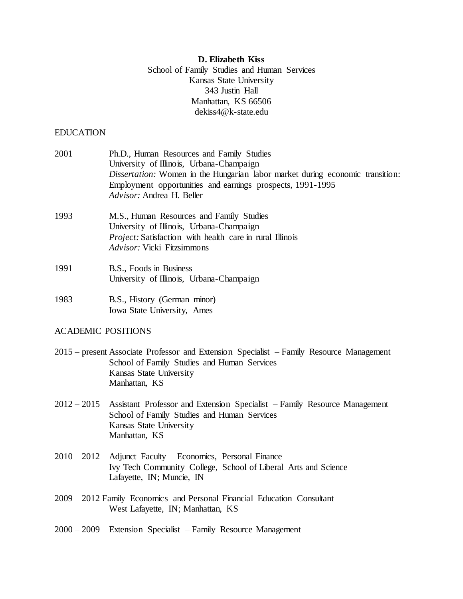# **D. Elizabeth Kiss**

School of Family Studies and Human Services Kansas State University 343 Justin Hall Manhattan, KS 66506 dekiss4@k-state.edu

## EDUCATION

| 2001                      | Ph.D., Human Resources and Family Studies<br>University of Illinois, Urbana-Champaign<br>Dissertation: Women in the Hungarian labor market during economic transition:<br>Employment opportunities and earnings prospects, 1991-1995<br>Advisor: Andrea H. Beller |
|---------------------------|-------------------------------------------------------------------------------------------------------------------------------------------------------------------------------------------------------------------------------------------------------------------|
| 1993                      | M.S., Human Resources and Family Studies<br>University of Illinois, Urbana-Champaign<br>Project: Satisfaction with health care in rural Illinois<br>Advisor: Vicki Fitzsimmons                                                                                    |
| 1991                      | B.S., Foods in Business<br>University of Illinois, Urbana-Champaign                                                                                                                                                                                               |
| 1983                      | B.S., History (German minor)<br>Iowa State University, Ames                                                                                                                                                                                                       |
| <b>ACADEMIC POSITIONS</b> |                                                                                                                                                                                                                                                                   |
|                           | 2015 – present Associate Professor and Extension Specialist – Family Resource Management<br>School of Family Studies and Human Services<br>Kansas State University<br>Manhattan, KS                                                                               |
| $2012 - 2015$             | Assistant Professor and Extension Specialist – Family Resource Management<br>School of Family Studies and Human Services<br>Kansas State University<br>Manhattan, KS                                                                                              |
| $2010 - 2012$             | Adjunct Faculty – Economics, Personal Finance<br>Ivy Tech Community College, School of Liberal Arts and Science<br>Lafayette, IN; Muncie, IN                                                                                                                      |
|                           | 2009 - 2012 Family Economics and Personal Financial Education Consultant<br>West Lafayette, IN; Manhattan, KS                                                                                                                                                     |
| $2000 - 2009$             | Extension Specialist - Family Resource Management                                                                                                                                                                                                                 |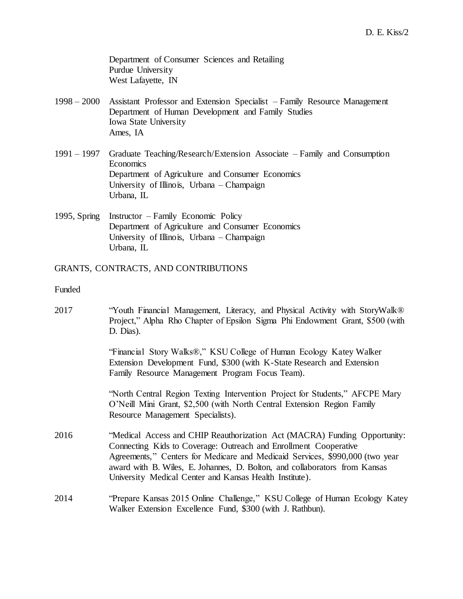Department of Consumer Sciences and Retailing Purdue University West Lafayette, IN

- 1998 2000 Assistant Professor and Extension Specialist Family Resource Management Department of Human Development and Family Studies Iowa State University Ames, IA
- 1991 1997 Graduate Teaching/Research/Extension Associate Family and Consumption Economics Department of Agriculture and Consumer Economics University of Illinois, Urbana – Champaign Urbana, IL
- 1995, Spring Instructor Family Economic Policy Department of Agriculture and Consumer Economics University of Illinois, Urbana – Champaign Urbana, IL

### GRANTS, CONTRACTS, AND CONTRIBUTIONS

### Funded

2017 "Youth Financial Management, Literacy, and Physical Activity with StoryWalk® Project," Alpha Rho Chapter of Epsilon Sigma Phi Endowment Grant, \$500 (with D. Dias).

> "Financial Story Walks®," KSU College of Human Ecology Katey Walker Extension Development Fund, \$300 (with K-State Research and Extension Family Resource Management Program Focus Team).

"North Central Region Texting Intervention Project for Students," AFCPE Mary O'Neill Mini Grant, \$2,500 (with North Central Extension Region Family Resource Management Specialists).

- 2016 "Medical Access and CHIP Reauthorization Act (MACRA) Funding Opportunity: Connecting Kids to Coverage: Outreach and Enrollment Cooperative Agreements," Centers for Medicare and Medicaid Services, \$990,000 (two year award with B. Wiles, E. Johannes, D. Bolton, and collaborators from Kansas University Medical Center and Kansas Health Institute).
- 2014 "Prepare Kansas 2015 Online Challenge," KSU College of Human Ecology Katey Walker Extension Excellence Fund, \$300 (with J. Rathbun).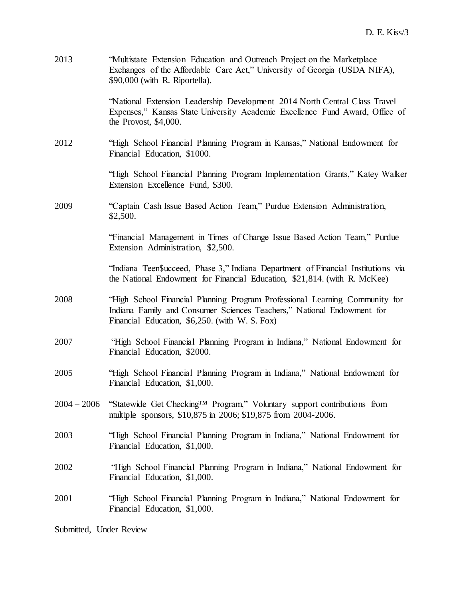| 2013          | "Multistate Extension Education and Outreach Project on the Marketplace<br>Exchanges of the Affordable Care Act," University of Georgia (USDA NIFA),<br>\$90,000 (with R. Riportella).                  |
|---------------|---------------------------------------------------------------------------------------------------------------------------------------------------------------------------------------------------------|
|               | "National Extension Leadership Development 2014 North Central Class Travel<br>Expenses," Kansas State University Academic Excellence Fund Award, Office of<br>the Provost, $$4,000$ .                   |
| 2012          | "High School Financial Planning Program in Kansas," National Endowment for<br>Financial Education, \$1000.                                                                                              |
|               | "High School Financial Planning Program Implementation Grants," Katey Walker<br>Extension Excellence Fund, \$300.                                                                                       |
| 2009          | "Captain Cash Issue Based Action Team," Purdue Extension Administration,<br>\$2,500.                                                                                                                    |
|               | "Financial Management in Times of Change Issue Based Action Team," Purdue<br>Extension Administration, \$2,500.                                                                                         |
|               | "Indiana Teen\$ucceed, Phase 3," Indiana Department of Financial Institutions via<br>the National Endowment for Financial Education, \$21,814. (with R. McKee)                                          |
| 2008          | "High School Financial Planning Program Professional Learning Community for<br>Indiana Family and Consumer Sciences Teachers," National Endowment for<br>Financial Education, \$6,250. (with W. S. Fox) |
| 2007          | "High School Financial Planning Program in Indiana," National Endowment for<br>Financial Education, \$2000.                                                                                             |
| 2005          | "High School Financial Planning Program in Indiana," National Endowment for<br>Financial Education, \$1,000.                                                                                            |
| $2004 - 2006$ | "Statewide Get Checking <sup>TM</sup> Program," Voluntary support contributions from<br>multiple sponsors, \$10,875 in 2006; \$19,875 from 2004-2006.                                                   |
| 2003          | "High School Financial Planning Program in Indiana," National Endowment for<br>Financial Education, \$1,000.                                                                                            |
| 2002          | "High School Financial Planning Program in Indiana," National Endowment for<br>Financial Education, \$1,000.                                                                                            |
| 2001          | "High School Financial Planning Program in Indiana," National Endowment for<br>Financial Education, \$1,000.                                                                                            |
|               |                                                                                                                                                                                                         |

Submitted, Under Review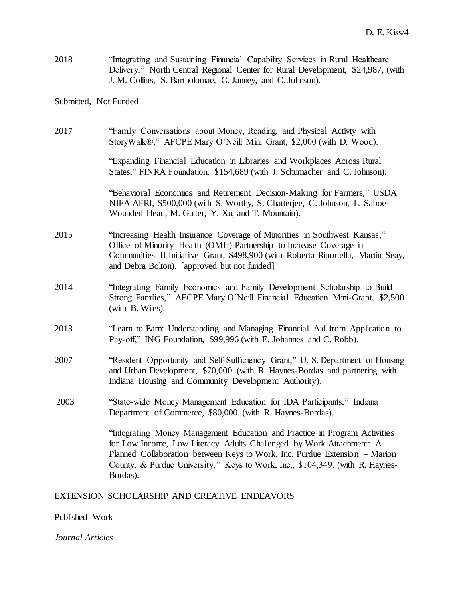2018 "Integrating and Sustaining Financial Capability Services in Rural Healthcare Delivery," North Central Regional Center for Rural Development, \$24,987, (with J. M. Collins, S. Bartholomae, C. Janney, and C. Johnson).

# Submitted, Not Funded

| 2017 | "Family Conversations about Money, Reading, and Physical Activty with<br>StoryWalk®," AFCPE Mary O'Neill Mini Grant, \$2,000 (with D. Wood).                                                                                                                                                                                  |
|------|-------------------------------------------------------------------------------------------------------------------------------------------------------------------------------------------------------------------------------------------------------------------------------------------------------------------------------|
|      | "Expanding Financial Education in Libraries and Workplaces Across Rural<br>States," FINRA Foundation, \$154,689 (with J. Schumacher and C. Johnson).                                                                                                                                                                          |
|      | "Behavioral Economics and Retirement Decision-Making for Farmers," USDA<br>NIFA AFRI, \$500,000 (with S. Worthy, S. Chatterjee, C. Johnson, L. Saboe-<br>Wounded Head, M. Gutter, Y. Xu, and T. Mountain).                                                                                                                    |
| 2015 | "Increasing Health Insurance Coverage of Minorities in Southwest Kansas,"<br>Office of Minority Health (OMH) Partnership to Increase Coverage in<br>Communities II Initiative Grant, \$498,900 (with Roberta Riportella, Martin Seay,<br>and Debra Bolton). [approved but not funded]                                         |
| 2014 | "Integrating Family Economics and Family Development Scholarship to Build<br>Strong Families," AFCPE Mary O'Neill Financial Education Mini-Grant, \$2,500<br>(with B. Wiles).                                                                                                                                                 |
| 2013 | "Learn to Earn: Understanding and Managing Financial Aid from Application to<br>Pay-off," ING Foundation, \$99,996 (with E. Johannes and C. Robb).                                                                                                                                                                            |
| 2007 | "Resident Opportunity and Self-Sufficiency Grant," U. S. Department of Housing<br>and Urban Development, \$70,000. (with R. Haynes-Bordas and partnering with<br>Indiana Housing and Community Development Authority).                                                                                                        |
| 2003 | "State-wide Money Management Education for IDA Participants," Indiana<br>Department of Commerce, \$80,000. (with R. Haynes-Bordas).                                                                                                                                                                                           |
|      | "Integrating Money Management Education and Practice in Program Activities<br>for Low Income, Low Literacy Adults Challenged by Work Attachment: A<br>Planned Collaboration between Keys to Work, Inc. Purdue Extension – Marion<br>County, & Purdue University," Keys to Work, Inc., \$104,349. (with R. Haynes-<br>Bordas). |
|      |                                                                                                                                                                                                                                                                                                                               |

EXTENSION SCHOLARSHIP AND CREATIVE ENDEAVORS

Published Work

*Journal Articles*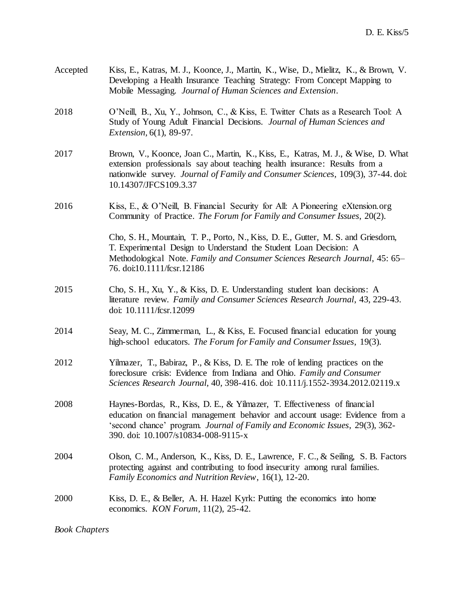| Accepted | Kiss, E., Katras, M. J., Koonce, J., Martin, K., Wise, D., Mielitz, K., & Brown, V.<br>Developing a Health Insurance Teaching Strategy: From Concept Mapping to<br>Mobile Messaging. Journal of Human Sciences and Extension.                                                    |
|----------|----------------------------------------------------------------------------------------------------------------------------------------------------------------------------------------------------------------------------------------------------------------------------------|
| 2018     | O'Neill, B., Xu, Y., Johnson, C., & Kiss, E. Twitter Chats as a Research Tool: A<br>Study of Young Adult Financial Decisions. Journal of Human Sciences and<br><i>Extension,</i> 6(1), 89-97.                                                                                    |
| 2017     | Brown, V., Koonce, Joan C., Martin, K., Kiss, E., Katras, M. J., & Wise, D. What<br>extension professionals say about teaching health insurance: Results from a<br>nationwide survey. Journal of Family and Consumer Sciences, 109(3), 37-44. doi:<br>10.14307/JFCS109.3.37      |
| 2016     | Kiss, E., & O'Neill, B. Financial Security for All: A Pioneering eXtension.org<br>Community of Practice. The Forum for Family and Consumer Issues, 20(2).                                                                                                                        |
|          | Cho, S. H., Mountain, T. P., Porto, N., Kiss, D. E., Gutter, M. S. and Griesdorn,<br>T. Experimental Design to Understand the Student Loan Decision: A<br>Methodological Note. Family and Consumer Sciences Research Journal, 45: 65–<br>76. doi:10.1111/fcsr.12186              |
| 2015     | Cho, S. H., Xu, Y., & Kiss, D. E. Understanding student loan decisions: A<br>literature review. Family and Consumer Sciences Research Journal, 43, 229-43.<br>doi: 10.1111/fcsr.12099                                                                                            |
| 2014     | Seay, M. C., Zimmerman, L., & Kiss, E. Focused financial education for young<br>high-school educators. The Forum for Family and Consumer Issues, 19(3).                                                                                                                          |
| 2012     | Yilmazer, T., Babiraz, P., & Kiss, D. E. The role of lending practices on the<br>foreclosure crisis: Evidence from Indiana and Ohio. Family and Consumer<br>Sciences Research Journal, 40, 398-416. doi: 10.111/j.1552-3934.2012.02119.x                                         |
| 2008     | Haynes-Bordas, R., Kiss, D. E., & Yilmazer, T. Effectiveness of financial<br>education on financial management behavior and account usage: Evidence from a<br>'second chance' program. Journal of Family and Economic Issues, 29(3), 362-<br>390. doi: 10.1007/s10834-008-9115-x |
| 2004     | Olson, C. M., Anderson, K., Kiss, D. E., Lawrence, F. C., & Seiling, S. B. Factors<br>protecting against and contributing to food insecurity among rural families.<br>Family Economics and Nutrition Review, 16(1), 12-20.                                                       |
| 2000     | Kiss, D. E., & Beller, A. H. Hazel Kyrk: Putting the economics into home<br>economics. KON Forum, $11(2)$ , 25-42.                                                                                                                                                               |

*Book Chapters*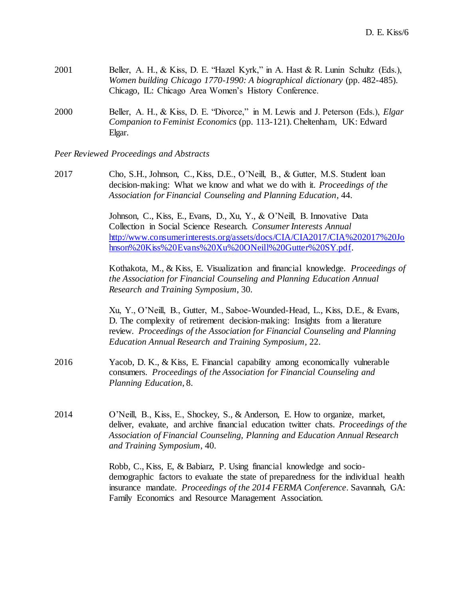| 2001 | Beller, A. H., & Kiss, D. E. "Hazel Kyrk," in A. Hast & R. Lunin Schultz (Eds.),         |
|------|------------------------------------------------------------------------------------------|
|      | Women building Chicago 1770-1990: A biographical dictionary (pp. 482-485).               |
|      | Chicago, IL: Chicago Area Women's History Conference.                                    |
|      |                                                                                          |
| 2000 | Beller, A. H., & Kiss, D. E. "Divorce," in M. Lewis and J. Peterson (Eds.), <i>Elgar</i> |

*Companion to Feminist Economics* (pp. 113-121). Cheltenham, UK: Edward Elgar.

*Peer Reviewed Proceedings and Abstracts*

2017 Cho, S.H., Johnson, C., Kiss, D.E., O'Neill, B., & Gutter, M.S. Student loan decision-making: What we know and what we do with it. *Proceedings of the Association for Financial Counseling and Planning Education*, 44.

> Johnson, C., Kiss, E., Evans, D., Xu, Y., & O'Neill, B. Innovative Data Collection in Social Science Research. *Consumer Interests Annual*  [http://www.consumerinterests.org/assets/docs/CIA/CIA2017/CIA%202017%20Jo](https://urldefense.proofpoint.com/v2/url?u=http-3A__www.consumerinterests.org_assets_docs_CIA_CIA2017_CIA-25202017-2520Johnson-2520Kiss-2520Evans-2520Xu-2520ONeill-2520Gutter-2520SY.pdf&d=DwMGaQ&c=pZJPUDQ3SB9JplYbifm4nt2lEVG5pWx2KikqINpWlZM&r=iqFZE6K3qUUuNxeY2Z-sWQ&m=8MuhFKXHik6c8ZZ9QLw6Ro85j27NAGrWkFt1RYUQml8&s=PNX7gzkU9Tu_4nYF-yuUPhhf3fQBajVncdnBuXYpSSE&e=) [hnson%20Kiss%20Evans%20Xu%20ONeill%20Gutter%20SY.pdf.](https://urldefense.proofpoint.com/v2/url?u=http-3A__www.consumerinterests.org_assets_docs_CIA_CIA2017_CIA-25202017-2520Johnson-2520Kiss-2520Evans-2520Xu-2520ONeill-2520Gutter-2520SY.pdf&d=DwMGaQ&c=pZJPUDQ3SB9JplYbifm4nt2lEVG5pWx2KikqINpWlZM&r=iqFZE6K3qUUuNxeY2Z-sWQ&m=8MuhFKXHik6c8ZZ9QLw6Ro85j27NAGrWkFt1RYUQml8&s=PNX7gzkU9Tu_4nYF-yuUPhhf3fQBajVncdnBuXYpSSE&e=)

> Kothakota, M., & Kiss, E. Visualization and financial knowledge. *Proceedings of the Association for Financial Counseling and Planning Education Annual Research and Training Symposium*, 30.

Xu, Y., O'Neill, B., Gutter, M., Saboe-Wounded-Head, L., Kiss, D.E., & Evans, D. The complexity of retirement decision-making: Insights from a literature review. *Proceedings of the Association for Financial Counseling and Planning Education Annual Research and Training Symposium*, 22.

- 2016 Yacob, D. K., & Kiss, E. Financial capability among economically vulnerable consumers. *Proceedings of the Association for Financial Counseling and Planning Education*, 8.
- 2014 O'Neill, B., Kiss, E., Shockey, S., & Anderson, E. How to organize, market, deliver, evaluate, and archive financial education twitter chats. *Proceedings of the Association of Financial Counseling, Planning and Education Annual Research and Training Symposium*, 40.

Robb, C., Kiss, E, & Babiarz, P. Using financial knowledge and sociodemographic factors to evaluate the state of preparedness for the individual health insurance mandate. *Proceedings of the 2014 FERMA Conference*. Savannah, GA: Family Economics and Resource Management Association.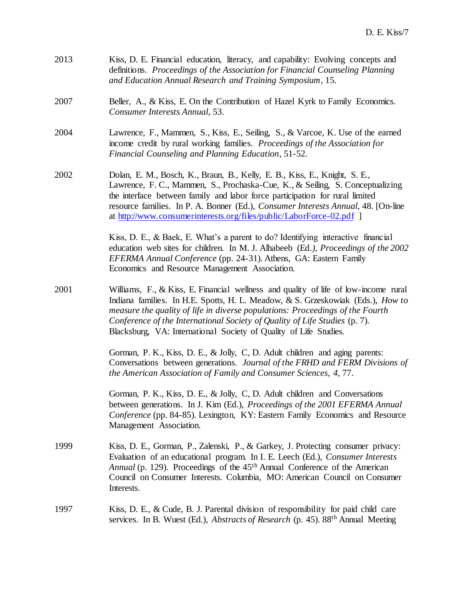- 2013 Kiss, D. E. Financial education, literacy, and capability: Evolving concepts and definitions. *Proceedings of the Association for Financial Counseling Planning and Education Annual Research and Training Symposium*, 15.
- 2007 Beller, A., & Kiss, E. On the Contribution of Hazel Kyrk to Family Economics. *Consumer Interests Annual*, 53.
- 2004 Lawrence, F., Mammen, S., Kiss, E., Seiling, S., & Varcoe, K. Use of the earned income credit by rural working families. *Proceedings of the Association for Financial Counseling and Planning Education*, 51-52*.*
- 2002 Dolan, E. M., Bosch, K., Braun, B., Kelly, E. B., Kiss, E., Knight, S. E., Lawrence, F. C., Mammen, S., Prochaska-Cue, K., & Seiling, S. Conceptualizing the interface between family and labor force participation for rural limited resource families. In P. A. Bonner (Ed.), *Consumer Interests Annual*, 48. [On-line at<http://www.consumerinterests.org/files/public/LaborForce-02.pdf> ]

Kiss, D. E., & Baek, E. What's a parent to do? Identifying interactive financial education web sites for children. In M. J. Alhabeeb (Ed*.), Proceedings of the 2002 EFERMA Annual Conference* (pp. 24-31). Athens, GA: Eastern Family Economics and Resource Management Association.

2001 Williams, F., & Kiss, E. Financial wellness and quality of life of low-income rural Indiana families. In H.E. Spotts, H. L. Meadow, & S. Grzeskowiak (Eds.), *How to measure the quality of life in diverse populations: Proceedings of the Fourth Conference of the International Society of Quality of Life Studies* (p. 7). Blacksburg, VA: International Society of Quality of Life Studies.

> Gorman, P. K., Kiss, D. E., & Jolly, C, D. Adult children and aging parents: Conversations between generations. *Journal of the FRHD and FERM Divisions of the American Association of Family and Consumer Sciences, 4*, 77.

> Gorman, P. K., Kiss, D. E., & Jolly, C, D. Adult children and Conversations between generations. In J. Kim (Ed.), *Proceedings of the 2001 EFERMA Annual Conference* (pp. 84-85). Lexington, KY: Eastern Family Economics and Resource Management Association.

- 1999 Kiss, D. E., Gorman, P., Zalenski, P., & Garkey, J. Protecting consumer privacy: Evaluation of an educational program. In I. E. Leech (Ed.), *Consumer Interests Annual* (p. 129). Proceedings of the 45th Annual Conference of the American Council on Consumer Interests. Columbia, MO: American Council on Consumer Interests.
- 1997 Kiss, D. E., & Cude, B. J. Parental division of responsibility for paid child care services. In B. Wuest (Ed.), *Abstracts of Research* (p. 45). 88th Annual Meeting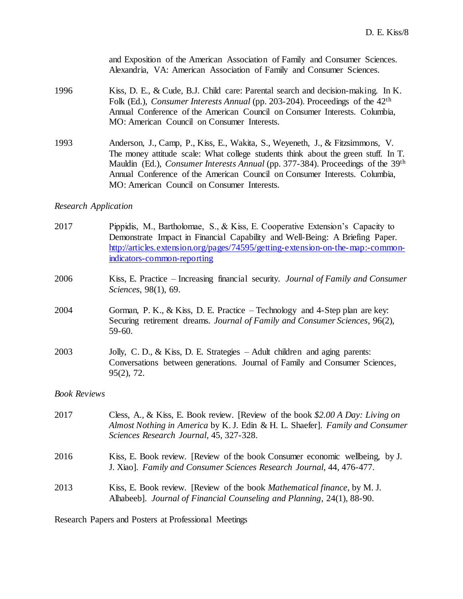|      | and Exposition of the American Association of Family and Consumer Sciences.<br>Alexandria, VA: American Association of Family and Consumer Sciences.                                                                                                                                                                                                                                            |
|------|-------------------------------------------------------------------------------------------------------------------------------------------------------------------------------------------------------------------------------------------------------------------------------------------------------------------------------------------------------------------------------------------------|
| 1996 | Kiss, D. E., & Cude, B.J. Child care: Parental search and decision-making. In K.<br>Folk (Ed.), <i>Consumer Interests Annual</i> (pp. 203-204). Proceedings of the 42 <sup>th</sup><br>Annual Conference of the American Council on Consumer Interests. Columbia,<br>MO: American Council on Consumer Interests.                                                                                |
| 1993 | Anderson, J., Camp, P., Kiss, E., Wakita, S., Weyeneth, J., & Fitzsimmons, V.<br>The money attitude scale: What college students think about the green stuff. In T.<br>Mauldin (Ed.), Consumer Interests Annual (pp. 377-384). Proceedings of the 39 <sup>th</sup><br>Annual Conference of the American Council on Consumer Interests. Columbia,<br>MO: American Council on Consumer Interests. |
|      |                                                                                                                                                                                                                                                                                                                                                                                                 |

### *Research Application*

- 2017 Pippidis, M., Bartholomae, S., & Kiss, E. Cooperative Extension's Capacity to Demonstrate Impact in Financial Capability and Well-Being: A Briefing Paper. [http://articles.extension.org/pages/74595/getting-extension-on-the-map:-common](http://articles.extension.org/pages/74595/getting-extension-on-the-map:-common-indicators-common-reporting)[indicators-common-reporting](http://articles.extension.org/pages/74595/getting-extension-on-the-map:-common-indicators-common-reporting)
- 2006 Kiss, E. Practice Increasing financial security. *Journal of Family and Consumer Sciences*, 98(1), 69.
- 2004 Gorman, P. K., & Kiss, D. E. Practice Technology and 4-Step plan are key: Securing retirement dreams. *Journal of Family and Consumer Sciences*, 96(2), 59-60.
- 2003 Jolly, C. D., & Kiss, D. E. Strategies Adult children and aging parents: Conversations between generations. Journal of Family and Consumer Sciences, 95(2), 72.

### *Book Reviews*

| 2017 | Cless, A., & Kiss, E. Book review. [Review of the book \$2.00 A Day: Living on<br>Almost Nothing in America by K.J. Edin & H. L. Shaefer]. Family and Consumer<br>Sciences Research Journal, 45, 327-328. |
|------|-----------------------------------------------------------------------------------------------------------------------------------------------------------------------------------------------------------|
| 2016 | Kiss, E. Book review. [Review of the book Consumer economic wellbeing, by J.<br>J. Xiao]. Family and Consumer Sciences Research Journal, 44, 476-477.                                                     |
| 2013 | Kiss, E. Book review. [Review of the book <i>Mathematical finance</i> , by M. J.<br>Alhabeeb]. Journal of Financial Counseling and Planning, 24(1), 88-90.                                                |

Research Papers and Posters at Professional Meetings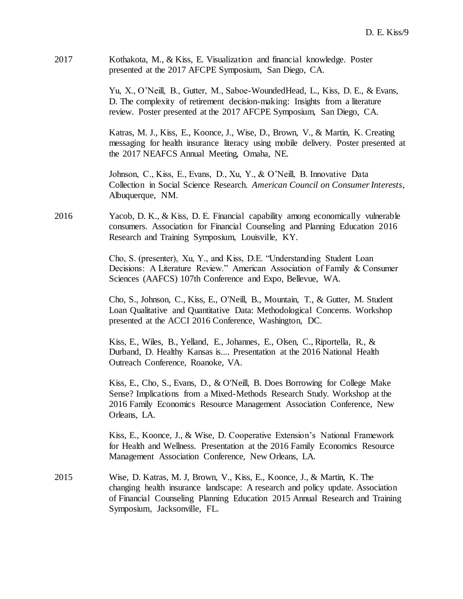2017 Kothakota, M., & Kiss, E. Visualization and financial knowledge. Poster presented at the 2017 AFCPE Symposium, San Diego, CA.

> Yu, X., O'Neill, B., Gutter, M., Saboe-WoundedHead, L., Kiss, D. E., & Evans, D. The complexity of retirement decision-making: Insights from a literature review. Poster presented at the 2017 AFCPE Symposium, San Diego, CA.

Katras, M. J., Kiss, E., Koonce, J., Wise, D., Brown, V., & Martin, K. Creating messaging for health insurance literacy using mobile delivery. Poster presented at the 2017 NEAFCS Annual Meeting, Omaha, NE.

Johnson, C., Kiss, E., Evans, D., Xu, Y., & O'Neill, B. Innovative Data Collection in Social Science Research. *American Council on Consumer Interests*, Albuquerque, NM.

2016 Yacob, D. K., & Kiss, D. E. Financial capability among economically vulnerable consumers. Association for Financial Counseling and Planning Education 2016 Research and Training Symposium, Louisville, KY.

> Cho, S. (presenter), Xu, Y., and Kiss, D.E. "Understanding Student Loan Decisions: A Literature Review." American Association of Family & Consumer Sciences (AAFCS) 107th Conference and Expo, Bellevue, WA.

Cho, S., Johnson, C., Kiss, E., O'Neill, B., Mountain, T., & Gutter, M. Student Loan Qualitative and Quantitative Data: Methodological Concerns. Workshop presented at the ACCI 2016 Conference, Washington, DC.

Kiss, E., Wiles, B., Yelland, E., Johannes, E., Olsen, C., Riportella, R., & Durband, D. Healthy Kansas is.... Presentation at the 2016 National Health Outreach Conference, Roanoke, VA.

Kiss, E., Cho, S., Evans, D., & O'Neill, B. Does Borrowing for College Make Sense? Implications from a Mixed-Methods Research Study. Workshop at the 2016 Family Economics Resource Management Association Conference, New Orleans, LA.

Kiss, E., Koonce, J., & Wise, D. Cooperative Extension's National Framework for Health and Wellness. Presentation at the 2016 Family Economics Resource Management Association Conference, New Orleans, LA.

2015 Wise, D. Katras, M. J, Brown, V., Kiss, E., Koonce, J., & Martin, K. The changing health insurance landscape: A research and policy update. Association of Financial Counseling Planning Education 2015 Annual Research and Training Symposium, Jacksonville, FL.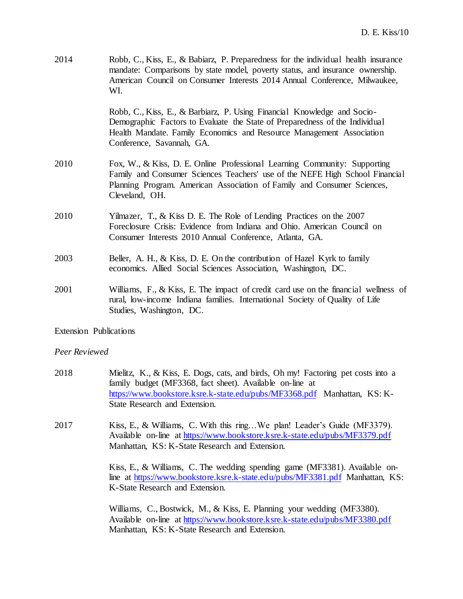| 2014                   | Robb, C., Kiss, E., & Babiarz, P. Preparedness for the individual health insurance<br>mandate: Comparisons by state model, poverty status, and insurance ownership.<br>American Council on Consumer Interests 2014 Annual Conference, Milwaukee,<br>WI.     |
|------------------------|-------------------------------------------------------------------------------------------------------------------------------------------------------------------------------------------------------------------------------------------------------------|
|                        | Robb, C., Kiss, E., & Barbiarz, P. Using Financial Knowledge and Socio-<br>Demographic Factors to Evaluate the State of Preparedness of the Individual<br>Health Mandate. Family Economics and Resource Management Association<br>Conference, Savannah, GA. |
| 2010                   | Fox, W., & Kiss, D. E. Online Professional Learning Community: Supporting<br>Family and Consumer Sciences Teachers' use of the NEFE High School Financial<br>Planning Program. American Association of Family and Consumer Sciences,<br>Cleveland, OH.      |
| 2010                   | Yilmazer, T., & Kiss D. E. The Role of Lending Practices on the 2007<br>Foreclosure Crisis: Evidence from Indiana and Ohio. American Council on<br>Consumer Interests 2010 Annual Conference, Atlanta, GA.                                                  |
| 2003                   | Beller, A. H., & Kiss, D. E. On the contribution of Hazel Kyrk to family<br>economics. Allied Social Sciences Association, Washington, DC.                                                                                                                  |
| 2001                   | Williams, F., & Kiss, E. The impact of credit card use on the financial wellness of<br>rural, low-income Indiana families. International Society of Quality of Life<br>Studies, Washington, DC.                                                             |
| Extension Publications |                                                                                                                                                                                                                                                             |

#### *Peer Reviewed*

- 2018 Mielitz, K., & Kiss, E. Dogs, cats, and birds, Oh my! Factoring pet costs into a family budget (MF3368, fact sheet). Available on-line at <https://www.bookstore.ksre.k-state.edu/pubs/MF3368.pdf> Manhattan, KS: K-State Research and Extension.
- 2017 Kiss, E., & Williams, C. With this ring…We plan! Leader's Guide (MF3379). Available on-line at <https://www.bookstore.ksre.k-state.edu/pubs/MF3379.pdf> Manhattan, KS: K-State Research and Extension.

Kiss, E., & Williams, C. The wedding spending game (MF3381). Available online at<https://www.bookstore.ksre.k-state.edu/pubs/MF3381.pdf> Manhattan, KS: K-State Research and Extension.

Williams, C., Bostwick, M., & Kiss, E. Planning your wedding (MF3380). Available on-line at<https://www.bookstore.ksre.k-state.edu/pubs/MF3380.pdf> Manhattan, KS: K-State Research and Extension.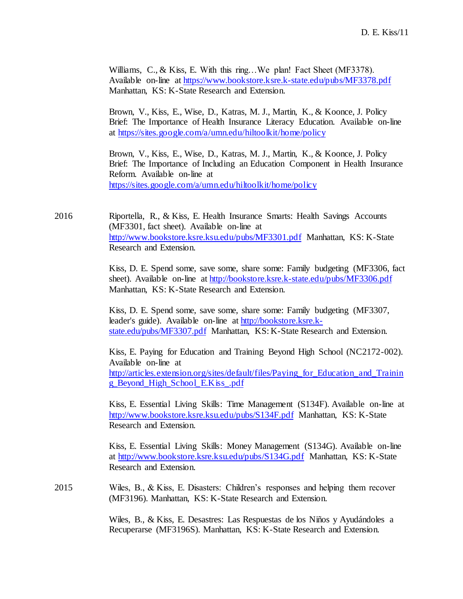Williams, C., & Kiss, E. With this ring...We plan! Fact Sheet (MF3378). Available on-line at<https://www.bookstore.ksre.k-state.edu/pubs/MF3378.pdf> Manhattan, KS: K-State Research and Extension.

Brown, V., Kiss, E., Wise, D., Katras, M. J., Martin, K., & Koonce, J. Policy Brief: The Importance of Health Insurance Literacy Education. Available on-line at<https://sites.google.com/a/umn.edu/hiltoolkit/home/policy>

Brown, V., Kiss, E., Wise, D., Katras, M. J., Martin, K., & Koonce, J. Policy Brief: The Importance of Including an Education Component in Health Insurance Reform. Available on-line at <https://sites.google.com/a/umn.edu/hiltoolkit/home/policy>

2016 Riportella, R., & Kiss, E. Health Insurance Smarts: Health Savings Accounts (MF3301, fact sheet). Available on-line at <http://www.bookstore.ksre.ksu.edu/pubs/MF3301.pdf> Manhattan, KS: K-State Research and Extension.

> Kiss, D. E. Spend some, save some, share some: Family budgeting (MF3306, fact sheet). Available on-line at<http://bookstore.ksre.k-state.edu/pubs/MF3306.pdf> Manhattan, KS: K-State Research and Extension.

Kiss, D. E. Spend some, save some, share some: Family budgeting (MF3307, leader's guide). Available on-line at [http://bookstore.ksre.k](http://bookstore.ksre.k-state.edu/pubs/MF3307.pdf)[state.edu/pubs/MF3307.pdf](http://bookstore.ksre.k-state.edu/pubs/MF3307.pdf) Manhattan, KS: K-State Research and Extension.

Kiss, E. Paying for Education and Training Beyond High School (NC2172-002). Available on-line at [http://articles.extension.org/sites/default/files/Paying\\_for\\_Education\\_and\\_Trainin](http://articles.extension.org/sites/default/files/Paying_for_Education_and_Training_Beyond_High_School_E.Kiss_.pdf) [g\\_Beyond\\_High\\_School\\_E.Kiss\\_.pdf](http://articles.extension.org/sites/default/files/Paying_for_Education_and_Training_Beyond_High_School_E.Kiss_.pdf)

Kiss, E. Essential Living Skills: Time Management (S134F). Available on-line at <http://www.bookstore.ksre.ksu.edu/pubs/S134F.pdf> Manhattan, KS: K-State Research and Extension.

Kiss, E. Essential Living Skills: Money Management (S134G). Available on-line at<http://www.bookstore.ksre.ksu.edu/pubs/S134G.pdf> Manhattan, KS: K-State Research and Extension.

2015 Wiles, B., & Kiss, E. Disasters: Children's responses and helping them recover (MF3196). Manhattan, KS: K-State Research and Extension.

> Wiles, B., & Kiss, E. Desastres: Las Respuestas de los Niños y Ayudándoles a Recuperarse (MF3196S). Manhattan, KS: K-State Research and Extension.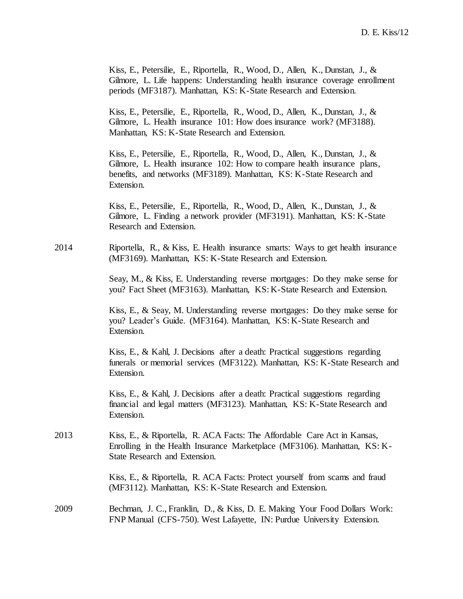Kiss, E., Petersilie, E., Riportella, R., Wood, D., Allen, K., Dunstan, J., & Gilmore, L. Life happens: Understanding health insurance coverage enrollment periods (MF3187). Manhattan, KS: K-State Research and Extension.

Kiss, E., Petersilie, E., Riportella, R., Wood, D., Allen, K., Dunstan, J., & Gilmore, L. Health insurance 101: How does insurance work? (MF3188). Manhattan, KS: K-State Research and Extension.

Kiss, E., Petersilie, E., Riportella, R., Wood, D., Allen, K., Dunstan, J., & Gilmore, L. Health insurance 102: How to compare health insurance plans, benefits, and networks (MF3189). Manhattan, KS: K-State Research and Extension.

Kiss, E., Petersilie, E., Riportella, R., Wood, D., Allen, K., Dunstan, J., & Gilmore, L. Finding a network provider (MF3191). Manhattan, KS: K-State Research and Extension.

2014 Riportella, R., & Kiss, E. Health insurance smarts: Ways to get health insurance (MF3169). Manhattan, KS: K-State Research and Extension.

> Seay, M., & Kiss, E. Understanding reverse mortgages: Do they make sense for you? Fact Sheet (MF3163). Manhattan, KS: K-State Research and Extension.

> Kiss, E., & Seay, M. Understanding reverse mortgages: Do they make sense for you? Leader's Guide. (MF3164). Manhattan, KS: K-State Research and Extension.

> Kiss, E., & Kahl, J. Decisions after a death: Practical suggestions regarding funerals or memorial services (MF3122). Manhattan, KS: K-State Research and Extension.

Kiss, E., & Kahl, J. Decisions after a death: Practical suggestions regarding financial and legal matters (MF3123). Manhattan, KS: K-State Research and Extension.

2013 Kiss, E., & Riportella, R. ACA Facts: The Affordable Care Act in Kansas, Enrolling in the Health Insurance Marketplace (MF3106). Manhattan, KS: K-State Research and Extension.

> Kiss, E., & Riportella, R. ACA Facts: Protect yourself from scams and fraud (MF3112). Manhattan, KS: K-State Research and Extension.

2009 Bechman, J. C., Franklin, D., & Kiss, D. E. Making Your Food Dollars Work: FNP Manual (CFS-750). West Lafayette, IN: Purdue University Extension.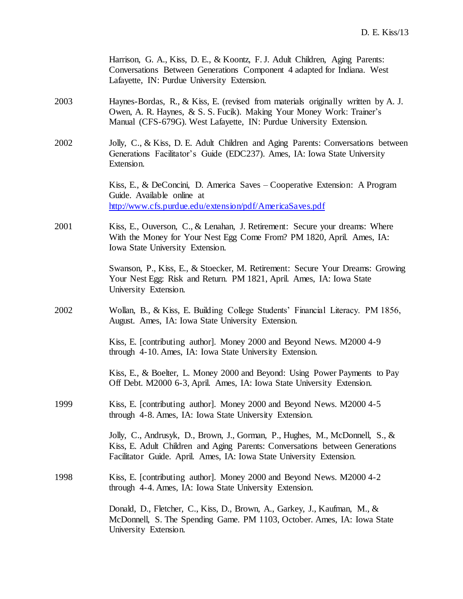|      | Harrison, G. A., Kiss, D. E., & Koontz, F. J. Adult Children, Aging Parents:<br>Conversations Between Generations Component 4 adapted for Indiana. West<br>Lafayette, IN: Purdue University Extension.                               |
|------|--------------------------------------------------------------------------------------------------------------------------------------------------------------------------------------------------------------------------------------|
| 2003 | Haynes-Bordas, R., & Kiss, E. (revised from materials originally written by A. J.<br>Owen, A. R. Haynes, & S. S. Fucik). Making Your Money Work: Trainer's<br>Manual (CFS-679G). West Lafayette, IN: Purdue University Extension.    |
| 2002 | Jolly, C., & Kiss, D. E. Adult Children and Aging Parents: Conversations between<br>Generations Facilitator's Guide (EDC237). Ames, IA: Iowa State University<br>Extension.                                                          |
|      | Kiss, E., & DeConcini, D. America Saves - Cooperative Extension: A Program<br>Guide. Available online at<br>http://www.cfs.purdue.edu/extension/pdf/AmericaSaves.pdf                                                                 |
| 2001 | Kiss, E., Ouverson, C., & Lenahan, J. Retirement: Secure your dreams: Where<br>With the Money for Your Nest Egg Come From? PM 1820, April. Ames, IA:<br>Iowa State University Extension.                                             |
|      | Swanson, P., Kiss, E., & Stoecker, M. Retirement: Secure Your Dreams: Growing<br>Your Nest Egg: Risk and Return. PM 1821, April. Ames, IA: Iowa State<br>University Extension.                                                       |
| 2002 | Wollan, B., & Kiss, E. Building College Students' Financial Literacy. PM 1856,<br>August. Ames, IA: Iowa State University Extension.                                                                                                 |
|      | Kiss, E. [contributing author]. Money 2000 and Beyond News. M2000 4-9<br>through 4-10. Ames, IA: Iowa State University Extension.                                                                                                    |
|      | Kiss, E., & Boelter, L. Money 2000 and Beyond: Using Power Payments to Pay<br>Off Debt. M2000 6-3, April. Ames, IA: Iowa State University Extension.                                                                                 |
| 1999 | Kiss, E. [contributing author]. Money 2000 and Beyond News. M2000 4-5<br>through 4-8. Ames, IA: Iowa State University Extension.                                                                                                     |
|      | Jolly, C., Andrusyk, D., Brown, J., Gorman, P., Hughes, M., McDonnell, S., &<br>Kiss, E. Adult Children and Aging Parents: Conversations between Generations<br>Facilitator Guide. April. Ames, IA: Iowa State University Extension. |
| 1998 | Kiss, E. [contributing author]. Money 2000 and Beyond News. M2000 4-2<br>through 4-4. Ames, IA: Iowa State University Extension.                                                                                                     |
|      | Donald, D., Fletcher, C., Kiss, D., Brown, A., Garkey, J., Kaufman, M., &<br>McDonnell, S. The Spending Game. PM 1103, October. Ames, IA: Iowa State<br>University Extension.                                                        |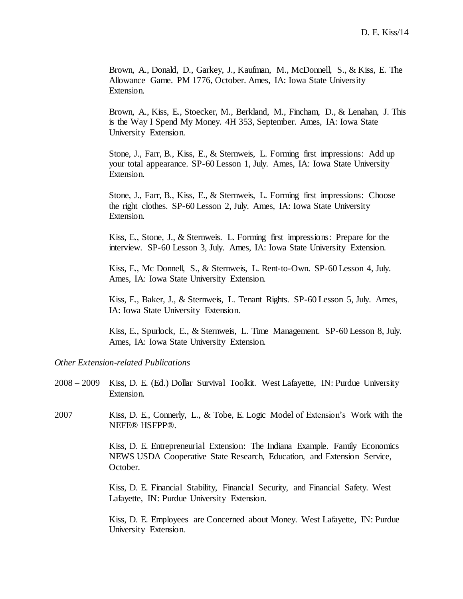Brown, A., Donald, D., Garkey, J., Kaufman, M., McDonnell, S., & Kiss, E. The Allowance Game. PM 1776, October. Ames, IA: Iowa State University Extension.

Brown, A., Kiss, E., Stoecker, M., Berkland, M., Fincham, D., & Lenahan, J. This is the Way I Spend My Money. 4H 353, September. Ames, IA: Iowa State University Extension.

Stone, J., Farr, B., Kiss, E., & Sternweis, L. Forming first impressions: Add up your total appearance. SP-60 Lesson 1, July. Ames, IA: Iowa State University Extension.

Stone, J., Farr, B., Kiss, E., & Sternweis, L. Forming first impressions: Choose the right clothes. SP-60 Lesson 2, July. Ames, IA: Iowa State University Extension.

Kiss, E., Stone, J., & Sternweis. L. Forming first impressions: Prepare for the interview. SP-60 Lesson 3, July. Ames, IA: Iowa State University Extension.

Kiss, E., Mc Donnell, S., & Sternweis, L. Rent-to-Own. SP-60 Lesson 4, July. Ames, IA: Iowa State University Extension.

Kiss, E., Baker, J., & Sternweis, L. Tenant Rights. SP-60 Lesson 5, July. Ames, IA: Iowa State University Extension.

Kiss, E., Spurlock, E., & Sternweis, L. Time Management. SP-60 Lesson 8, July. Ames, IA: Iowa State University Extension.

### *Other Extension-related Publications*

- 2008 2009 Kiss, D. E. (Ed.) Dollar Survival Toolkit. West Lafayette, IN: Purdue University Extension.
- 2007 Kiss, D. E., Connerly, L., & Tobe, E. Logic Model of Extension's Work with the NEFE® HSFPP®.

Kiss, D. E. Entrepreneurial Extension: The Indiana Example. Family Economics NEWS USDA Cooperative State Research, Education, and Extension Service, October.

Kiss, D. E. Financial Stability, Financial Security, and Financial Safety. West Lafayette, IN: Purdue University Extension.

Kiss, D. E. Employees are Concerned about Money. West Lafayette, IN: Purdue University Extension.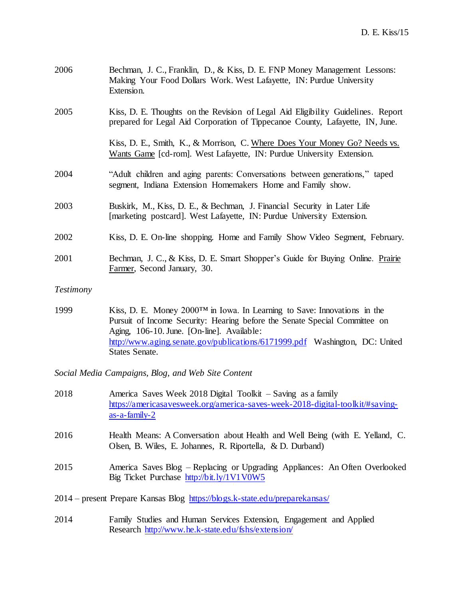| 2006             | Bechman, J. C., Franklin, D., & Kiss, D. E. FNP Money Management Lessons:<br>Making Your Food Dollars Work. West Lafayette, IN: Purdue University<br>Extension.   |
|------------------|-------------------------------------------------------------------------------------------------------------------------------------------------------------------|
| 2005             | Kiss, D. E. Thoughts on the Revision of Legal Aid Eligibility Guidelines. Report<br>prepared for Legal Aid Corporation of Tippecanoe County, Lafayette, IN, June. |
|                  | Kiss, D. E., Smith, K., & Morrison, C. Where Does Your Money Go? Needs vs.<br>Wants Game [cd-rom]. West Lafayette, IN: Purdue University Extension.               |
| 2004             | "Adult children and aging parents: Conversations between generations," taped<br>segment, Indiana Extension Homemakers Home and Family show.                       |
| 2003             | Buskirk, M., Kiss, D. E., & Bechman, J. Financial Security in Later Life<br>[marketing postcard]. West Lafayette, IN: Purdue University Extension.                |
| 2002             | Kiss, D. E. On-line shopping. Home and Family Show Video Segment, February.                                                                                       |
| 2001             | Bechman, J. C., & Kiss, D. E. Smart Shopper's Guide for Buying Online. Prairie<br>Farmer, Second January, 30.                                                     |
| <i>Testimony</i> |                                                                                                                                                                   |
| 1999             | Kiss, D. E. Money 2000TM in Iowa. In Learning to Save: Innovations in the<br>Pursuit of Income Security: Hearing before the Senate Special Committee on           |

Aging, 106-10. June. [On-line]. Available: <http://www.aging.senate.gov/publications/6171999.pdf> Washington, DC: United States Senate.

*Social Media Campaigns, Blog, and Web Site Content*

| 2018 | America Saves Week 2018 Digital Toolkit – Saving as a family<br>https://americasavesweek.org/america-saves-week-2018-digital-toolkit/#saving-<br>$as-a-family-2$ |
|------|------------------------------------------------------------------------------------------------------------------------------------------------------------------|
| 2016 | Health Means: A Conversation about Health and Well Being (with E. Yelland, C.<br>Olsen, B. Wiles, E. Johannes, R. Riportella, & D. Durband)                      |
| 2015 | America Saves Blog – Replacing or Upgrading Appliances: An Often Overlooked<br>Big Ticket Purchase http://bit.ly/1V1V0W5                                         |
|      | 2014 – present Prepare Kansas Blog https://blogs.k-state.edu/preparekansas/                                                                                      |

2014 Family Studies and Human Services Extension, Engagement and Applied Research<http://www.he.k-state.edu/fshs/extension/>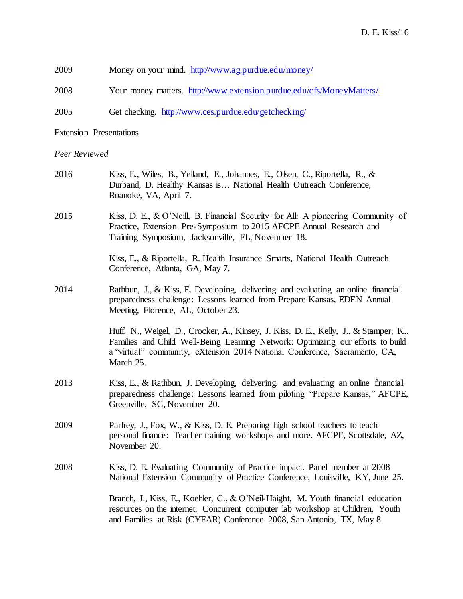| 2009<br>Money on your mind. http://www.ag.purdue.edu/money/ |  |  |
|-------------------------------------------------------------|--|--|
|-------------------------------------------------------------|--|--|

2008 Your money matters.<http://www.extension.purdue.edu/cfs/MoneyMatters/>

2005 Get checking. <http://www.ces.purdue.edu/getchecking/>

Extension Presentations

# *Peer Reviewed*

| 2016 | Kiss, E., Wiles, B., Yelland, E., Johannes, E., Olsen, C., Riportella, R., &<br>Durband, D. Healthy Kansas is National Health Outreach Conference,<br>Roanoke, VA, April 7.                                                                                      |
|------|------------------------------------------------------------------------------------------------------------------------------------------------------------------------------------------------------------------------------------------------------------------|
| 2015 | Kiss, D. E., & O'Neill, B. Financial Security for All: A pioneering Community of<br>Practice, Extension Pre-Symposium to 2015 AFCPE Annual Research and<br>Training Symposium, Jacksonville, FL, November 18.                                                    |
|      | Kiss, E., & Riportella, R. Health Insurance Smarts, National Health Outreach<br>Conference, Atlanta, GA, May 7.                                                                                                                                                  |
| 2014 | Rathbun, J., & Kiss, E. Developing, delivering and evaluating an online financial<br>preparedness challenge: Lessons learned from Prepare Kansas, EDEN Annual<br>Meeting, Florence, AL, October 23.                                                              |
|      | Huff, N., Weigel, D., Crocker, A., Kinsey, J. Kiss, D. E., Kelly, J., & Stamper, K<br>Families and Child Well-Being Learning Network: Optimizing our efforts to build<br>a "virtual" community, eXtension 2014 National Conference, Sacramento, CA,<br>March 25. |
| 2013 | Kiss, E., & Rathbun, J. Developing, delivering, and evaluating an online financial<br>preparedness challenge: Lessons learned from piloting "Prepare Kansas," AFCPE,<br>Greenville, SC, November 20.                                                             |
| 2009 | Parfrey, J., Fox, W., & Kiss, D. E. Preparing high school teachers to teach<br>personal finance: Teacher training workshops and more. AFCPE, Scottsdale, AZ,<br>November 20.                                                                                     |
| 2008 | Kiss, D. E. Evaluating Community of Practice impact. Panel member at 2008<br>National Extension Community of Practice Conference, Louisville, KY, June 25.                                                                                                       |
|      | Branch, J., Kiss, E., Koehler, C., & O'Neil-Haight, M. Youth financial education<br>resources on the internet. Concurrent computer lab workshop at Children, Youth<br>and Families at Risk (CYFAR) Conference 2008, San Antonio, TX, May 8.                      |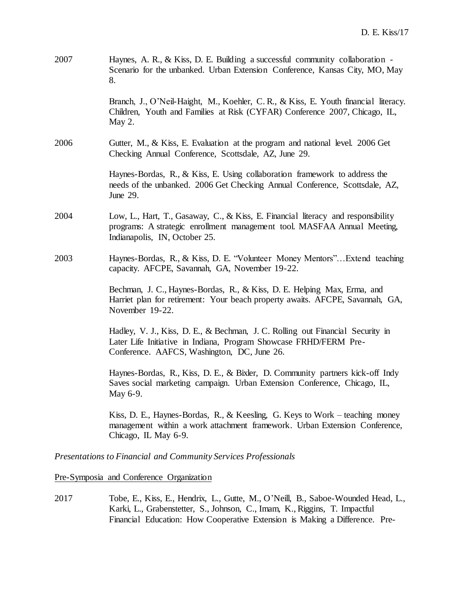| 2007 | Haynes, A. R., & Kiss, D. E. Building a successful community collaboration -<br>Scenario for the unbanked. Urban Extension Conference, Kansas City, MO, May<br>8.                                  |
|------|----------------------------------------------------------------------------------------------------------------------------------------------------------------------------------------------------|
|      | Branch, J., O'Neil-Haight, M., Koehler, C.R., & Kiss, E. Youth financial literacy.<br>Children, Youth and Families at Risk (CYFAR) Conference 2007, Chicago, IL,<br>May 2.                         |
| 2006 | Gutter, M., & Kiss, E. Evaluation at the program and national level. 2006 Get<br>Checking Annual Conference, Scottsdale, AZ, June 29.                                                              |
|      | Haynes-Bordas, R., & Kiss, E. Using collaboration framework to address the<br>needs of the unbanked. 2006 Get Checking Annual Conference, Scottsdale, AZ,<br>June 29.                              |
| 2004 | Low, L., Hart, T., Gasaway, C., & Kiss, E. Financial literacy and responsibility<br>programs: A strategic enrollment management tool. MASFAA Annual Meeting,<br>Indianapolis, IN, October 25.      |
| 2003 | Haynes-Bordas, R., & Kiss, D. E. "Volunteer Money Mentors" Extend teaching<br>capacity. AFCPE, Savannah, GA, November 19-22.                                                                       |
|      | Bechman, J. C., Haynes-Bordas, R., & Kiss, D. E. Helping Max, Erma, and<br>Harriet plan for retirement: Your beach property awaits. AFCPE, Savannah, GA,<br>November 19-22.                        |
|      | Hadley, V. J., Kiss, D. E., & Bechman, J. C. Rolling out Financial Security in<br>Later Life Initiative in Indiana, Program Showcase FRHD/FERM Pre-<br>Conference. AAFCS, Washington, DC, June 26. |
|      | Haynes-Bordas, R., Kiss, D. E., & Bixler, D. Community partners kick-off Indy<br>Saves social marketing campaign. Urban Extension Conference, Chicago, IL,<br>May 6-9.                             |
|      | Kiss, D. E., Haynes-Bordas, R., & Keesling, G. Keys to Work – teaching money<br>management within a work attachment framework. Urban Extension Conference,<br>Chicago, IL May 6-9.                 |

*Presentations to Financial and Community Services Professionals* 

# Pre-Symposia and Conference Organization

2017 Tobe, E., Kiss, E., Hendrix, L., Gutte, M., O'Neill, B., Saboe-Wounded Head, L., Karki, L., Grabenstetter, S., Johnson, C., Imam, K., Riggins, T. Impactful Financial Education: How Cooperative Extension is Making a Difference. Pre-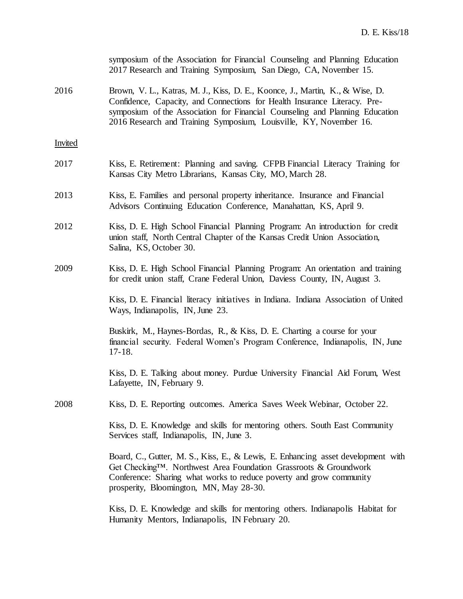|                | symposium of the Association for Financial Counseling and Planning Education<br>2017 Research and Training Symposium, San Diego, CA, November 15.                                                                                                                                                               |
|----------------|-----------------------------------------------------------------------------------------------------------------------------------------------------------------------------------------------------------------------------------------------------------------------------------------------------------------|
| 2016           | Brown, V. L., Katras, M. J., Kiss, D. E., Koonce, J., Martin, K., & Wise, D.<br>Confidence, Capacity, and Connections for Health Insurance Literacy. Pre-<br>symposium of the Association for Financial Counseling and Planning Education<br>2016 Research and Training Symposium, Louisville, KY, November 16. |
| <b>Invited</b> |                                                                                                                                                                                                                                                                                                                 |
| 2017           | Kiss, E. Retirement: Planning and saving. CFPB Financial Literacy Training for<br>Kansas City Metro Librarians, Kansas City, MO, March 28.                                                                                                                                                                      |
| 2013           | Kiss, E. Families and personal property inheritance. Insurance and Financial<br>Advisors Continuing Education Conference, Manahattan, KS, April 9.                                                                                                                                                              |
| 2012           | Kiss, D. E. High School Financial Planning Program: An introduction for credit<br>union staff, North Central Chapter of the Kansas Credit Union Association,<br>Salina, KS, October 30.                                                                                                                         |
| 2009           | Kiss, D. E. High School Financial Planning Program: An orientation and training<br>for credit union staff, Crane Federal Union, Daviess County, IN, August 3.                                                                                                                                                   |
|                | Kiss, D. E. Financial literacy initiatives in Indiana. Indiana Association of United<br>Ways, Indianapolis, IN, June 23.                                                                                                                                                                                        |
|                | Buskirk, M., Haynes-Bordas, R., & Kiss, D. E. Charting a course for your<br>financial security. Federal Women's Program Conference, Indianapolis, IN, June<br>$17-18.$                                                                                                                                          |
|                | Kiss, D. E. Talking about money. Purdue University Financial Aid Forum, West<br>Lafayette, IN, February 9.                                                                                                                                                                                                      |
| 2008           | Kiss, D. E. Reporting outcomes. America Saves Week Webinar, October 22.                                                                                                                                                                                                                                         |
|                | Kiss, D. E. Knowledge and skills for mentoring others. South East Community<br>Services staff, Indianapolis, IN, June 3.                                                                                                                                                                                        |
|                | Board, C., Gutter, M. S., Kiss, E., & Lewis, E. Enhancing asset development with<br>Get Checking <sup>TM</sup> . Northwest Area Foundation Grassroots & Groundwork<br>Conference: Sharing what works to reduce poverty and grow community<br>prosperity, Bloomington, MN, May 28-30.                            |
|                | Kiss, D. E. Knowledge and skills for mentoring others. Indianapolis Habitat for<br>Humanity Mentors, Indianapolis, IN February 20.                                                                                                                                                                              |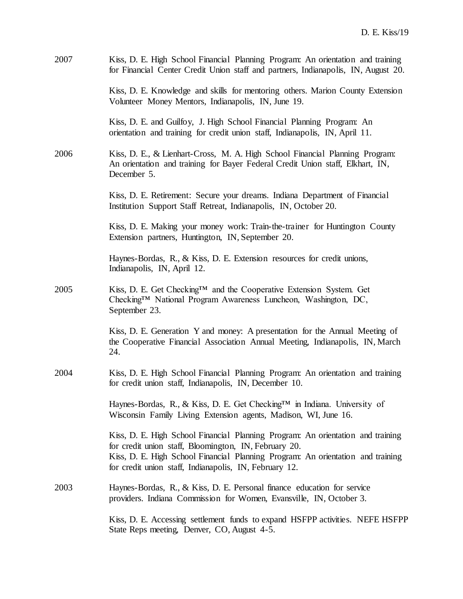| 2007 | Kiss, D. E. High School Financial Planning Program: An orientation and training<br>for Financial Center Credit Union staff and partners, Indianapolis, IN, August 20.                                                                                                                 |
|------|---------------------------------------------------------------------------------------------------------------------------------------------------------------------------------------------------------------------------------------------------------------------------------------|
|      | Kiss, D. E. Knowledge and skills for mentoring others. Marion County Extension<br>Volunteer Money Mentors, Indianapolis, IN, June 19.                                                                                                                                                 |
|      | Kiss, D. E. and Guilfoy, J. High School Financial Planning Program: An<br>orientation and training for credit union staff, Indianapolis, IN, April 11.                                                                                                                                |
| 2006 | Kiss, D. E., & Lienhart-Cross, M. A. High School Financial Planning Program:<br>An orientation and training for Bayer Federal Credit Union staff, Elkhart, IN,<br>December 5.                                                                                                         |
|      | Kiss, D. E. Retirement: Secure your dreams. Indiana Department of Financial<br>Institution Support Staff Retreat, Indianapolis, IN, October 20.                                                                                                                                       |
|      | Kiss, D. E. Making your money work: Train-the-trainer for Huntington County<br>Extension partners, Huntington, IN, September 20.                                                                                                                                                      |
|      | Haynes-Bordas, R., & Kiss, D. E. Extension resources for credit unions,<br>Indianapolis, IN, April 12.                                                                                                                                                                                |
| 2005 | Kiss, D. E. Get Checking™ and the Cooperative Extension System. Get<br>Checking <sup>TM</sup> National Program Awareness Luncheon, Washington, DC,<br>September 23.                                                                                                                   |
|      | Kiss, D. E. Generation Y and money: A presentation for the Annual Meeting of<br>the Cooperative Financial Association Annual Meeting, Indianapolis, IN, March<br>24.                                                                                                                  |
| 2004 | Kiss, D. E. High School Financial Planning Program: An orientation and training<br>for credit union staff, Indianapolis, IN, December 10.                                                                                                                                             |
|      | Haynes-Bordas, R., & Kiss, D. E. Get Checking™ in Indiana. University of<br>Wisconsin Family Living Extension agents, Madison, WI, June 16.                                                                                                                                           |
|      | Kiss, D. E. High School Financial Planning Program: An orientation and training<br>for credit union staff, Bloomington, IN, February 20.<br>Kiss, D. E. High School Financial Planning Program: An orientation and training<br>for credit union staff, Indianapolis, IN, February 12. |
| 2003 | Haynes-Bordas, R., & Kiss, D. E. Personal finance education for service<br>providers. Indiana Commission for Women, Evansville, IN, October 3.                                                                                                                                        |
|      | Kiss, D. E. Accessing settlement funds to expand HSFPP activities. NEFE HSFPP<br>State Reps meeting, Denver, CO, August 4-5.                                                                                                                                                          |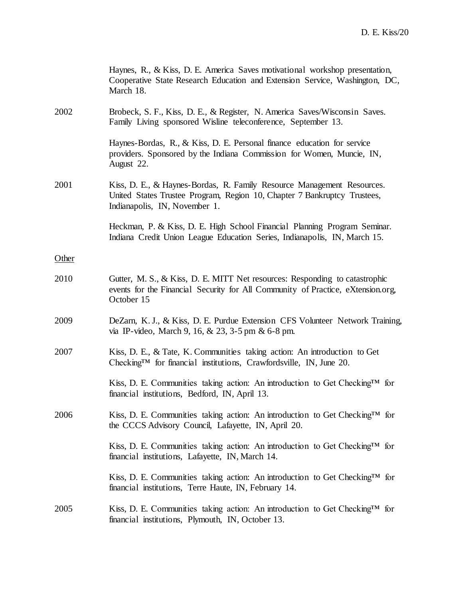|       | Haynes, R., & Kiss, D. E. America Saves motivational workshop presentation,<br>Cooperative State Research Education and Extension Service, Washington, DC,<br>March 18.             |
|-------|-------------------------------------------------------------------------------------------------------------------------------------------------------------------------------------|
| 2002  | Brobeck, S. F., Kiss, D. E., & Register, N. America Saves/Wisconsin Saves.<br>Family Living sponsored Wisline teleconference, September 13.                                         |
|       | Haynes-Bordas, R., & Kiss, D. E. Personal finance education for service<br>providers. Sponsored by the Indiana Commission for Women, Muncie, IN,<br>August 22.                      |
| 2001  | Kiss, D. E., & Haynes-Bordas, R. Family Resource Management Resources.<br>United States Trustee Program, Region 10, Chapter 7 Bankruptcy Trustees,<br>Indianapolis, IN, November 1. |
|       | Heckman, P. & Kiss, D. E. High School Financial Planning Program Seminar.<br>Indiana Credit Union League Education Series, Indianapolis, IN, March 15.                              |
| Other |                                                                                                                                                                                     |
| 2010  | Gutter, M. S., & Kiss, D. E. MITT Net resources: Responding to catastrophic<br>events for the Financial Security for All Community of Practice, eXtension.org,<br>October 15        |
| 2009  | DeZarn, K.J., & Kiss, D.E. Purdue Extension CFS Volunteer Network Training,<br>via IP-video, March 9, 16, $& 23$ , 3-5 pm $& 6-8$ pm.                                               |
| 2007  | Kiss, D. E., & Tate, K. Communities taking action: An introduction to Get<br>Checking <sup>TM</sup> for financial institutions, Crawfordsville, IN, June 20.                        |
|       | Kiss, D. E. Communities taking action: An introduction to Get Checking <sup>TM</sup> for<br>financial institutions, Bedford, IN, April 13.                                          |
| 2006  | Kiss, D. E. Communities taking action: An introduction to Get Checking <sup>TM</sup> for<br>the CCCS Advisory Council, Lafayette, IN, April 20.                                     |
|       | Kiss, D. E. Communities taking action: An introduction to Get Checking <sup>TM</sup> for<br>financial institutions, Lafayette, IN, March 14.                                        |
|       | Kiss, D. E. Communities taking action: An introduction to Get Checking <sup>TM</sup> for<br>financial institutions, Terre Haute, IN, February 14.                                   |
| 2005  | Kiss, D. E. Communities taking action: An introduction to Get Checking <sup>TM</sup> for<br>financial institutions, Plymouth, IN, October 13.                                       |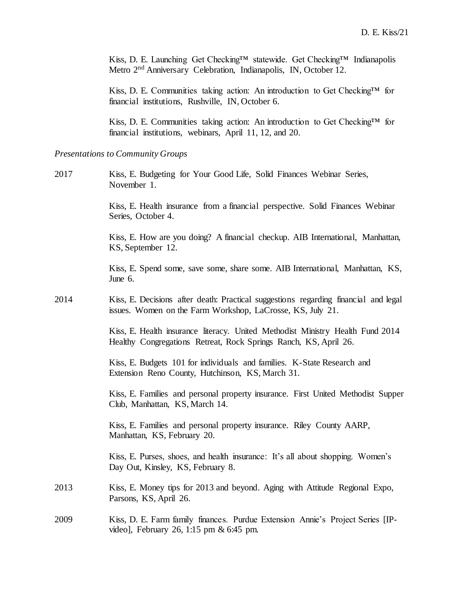Kiss, D. E. Launching Get Checking™ statewide. Get Checking™ Indianapolis Metro 2nd Anniversary Celebration, Indianapolis, IN, October 12.

Kiss, D. E. Communities taking action: An introduction to Get Checking™ for financial institutions, Rushville, IN, October 6.

Kiss, D. E. Communities taking action: An introduction to Get Checking™ for financial institutions, webinars, April 11, 12, and 20.

#### *Presentations to Community Groups*

2017 Kiss, E. Budgeting for Your Good Life, Solid Finances Webinar Series, November 1.

> Kiss, E. Health insurance from a financial perspective. Solid Finances Webinar Series, October 4.

Kiss, E. How are you doing? A financial checkup. AIB International, Manhattan, KS, September 12.

Kiss, E. Spend some, save some, share some. AIB International, Manhattan, KS, June 6.

2014 Kiss, E. Decisions after death: Practical suggestions regarding financial and legal issues. Women on the Farm Workshop, LaCrosse, KS, July 21.

> Kiss, E. Health insurance literacy. United Methodist Ministry Health Fund 2014 Healthy Congregations Retreat, Rock Springs Ranch, KS, April 26.

Kiss, E. Budgets 101 for individuals and families. K-State Research and Extension Reno County, Hutchinson, KS, March 31.

Kiss, E. Families and personal property insurance. First United Methodist Supper Club, Manhattan, KS, March 14.

Kiss, E. Families and personal property insurance. Riley County AARP, Manhattan, KS, February 20.

Kiss, E. Purses, shoes, and health insurance: It's all about shopping. Women's Day Out, Kinsley, KS, February 8.

- 2013 Kiss, E. Money tips for 2013 and beyond. Aging with Attitude Regional Expo, Parsons, KS, April 26.
- 2009 Kiss, D. E. Farm family finances. Purdue Extension Annie's Project Series [IPvideo], February 26, 1:15 pm & 6:45 pm.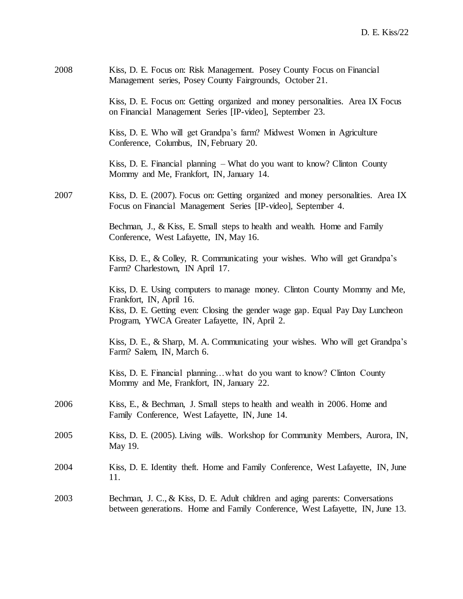| 2008 | Kiss, D. E. Focus on: Risk Management. Posey County Focus on Financial<br>Management series, Posey County Fairgrounds, October 21.                                                                                                      |
|------|-----------------------------------------------------------------------------------------------------------------------------------------------------------------------------------------------------------------------------------------|
|      | Kiss, D. E. Focus on: Getting organized and money personalities. Area IX Focus<br>on Financial Management Series [IP-video], September 23.                                                                                              |
|      | Kiss, D. E. Who will get Grandpa's farm? Midwest Women in Agriculture<br>Conference, Columbus, IN, February 20.                                                                                                                         |
|      | Kiss, D. E. Financial planning - What do you want to know? Clinton County<br>Mommy and Me, Frankfort, IN, January 14.                                                                                                                   |
| 2007 | Kiss, D. E. (2007). Focus on: Getting organized and money personalities. Area IX<br>Focus on Financial Management Series [IP-video], September 4.                                                                                       |
|      | Bechman, J., & Kiss, E. Small steps to health and wealth. Home and Family<br>Conference, West Lafayette, IN, May 16.                                                                                                                    |
|      | Kiss, D. E., & Colley, R. Communicating your wishes. Who will get Grandpa's<br>Farm? Charlestown, IN April 17.                                                                                                                          |
|      | Kiss, D. E. Using computers to manage money. Clinton County Mommy and Me,<br>Frankfort, IN, April 16.<br>Kiss, D. E. Getting even: Closing the gender wage gap. Equal Pay Day Luncheon<br>Program, YWCA Greater Lafayette, IN, April 2. |
|      | Kiss, D. E., & Sharp, M. A. Communicating your wishes. Who will get Grandpa's<br>Farm? Salem, IN, March 6.                                                                                                                              |
|      | Kiss, D. E. Financial planningwhat do you want to know? Clinton County<br>Mommy and Me, Frankfort, IN, January 22.                                                                                                                      |
| 2006 | Kiss, E., & Bechman, J. Small steps to health and wealth in 2006. Home and<br>Family Conference, West Lafayette, IN, June 14.                                                                                                           |
| 2005 | Kiss, D. E. (2005). Living wills. Workshop for Community Members, Aurora, IN,<br>May 19.                                                                                                                                                |
| 2004 | Kiss, D. E. Identity theft. Home and Family Conference, West Lafayette, IN, June<br>11.                                                                                                                                                 |
| 2003 | Bechman, J. C., & Kiss, D. E. Adult children and aging parents: Conversations<br>between generations. Home and Family Conference, West Lafayette, IN, June 13.                                                                          |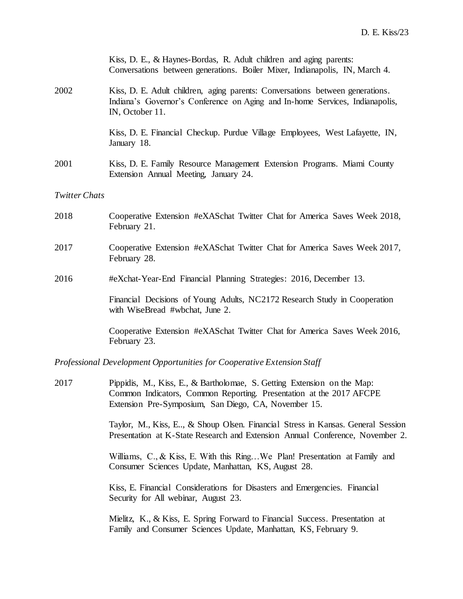|                      | Kiss, D. E., & Haynes-Bordas, R. Adult children and aging parents:<br>Conversations between generations. Boiler Mixer, Indianapolis, IN, March 4.                                |
|----------------------|----------------------------------------------------------------------------------------------------------------------------------------------------------------------------------|
| 2002                 | Kiss, D. E. Adult children, aging parents: Conversations between generations.<br>Indiana's Governor's Conference on Aging and In-home Services, Indianapolis,<br>IN, October 11. |
|                      | Kiss, D. E. Financial Checkup. Purdue Village Employees, West Lafayette, IN,<br>January 18.                                                                                      |
| 2001                 | Kiss, D. E. Family Resource Management Extension Programs. Miami County<br>Extension Annual Meeting, January 24.                                                                 |
| <b>Twitter Chats</b> |                                                                                                                                                                                  |
| 2018                 | Cooperative Extension #eXASchat Twitter Chat for America Saves Week 2018,<br>February 21.                                                                                        |
| 2017                 | Cooperative Extension #eXASchat Twitter Chat for America Saves Week 2017,<br>February 28.                                                                                        |
| 2016                 | #eXchat-Year-End Financial Planning Strategies: 2016, December 13.                                                                                                               |
|                      | Financial Decisions of Young Adults, NC2172 Research Study in Cooperation<br>with WiseBread #wbchat, June 2.                                                                     |
|                      | Cooperative Extension #eXASchat Twitter Chat for America Saves Week 2016,<br>February 23.                                                                                        |

*Professional Development Opportunities for Cooperative Extension Staff*

2017 Pippidis, M., Kiss, E., & Bartholomae, S. Getting Extension on the Map: Common Indicators, Common Reporting. Presentation at the 2017 AFCPE Extension Pre-Symposium, San Diego, CA, November 15.

> Taylor, M., Kiss, E.., & Shoup Olsen. Financial Stress in Kansas. General Session Presentation at K-State Research and Extension Annual Conference, November 2.

Williams, C., & Kiss, E. With this Ring...We Plan! Presentation at Family and Consumer Sciences Update, Manhattan, KS, August 28.

Kiss, E. Financial Considerations for Disasters and Emergencies. Financial Security for All webinar, August 23.

Mielitz, K., & Kiss, E. Spring Forward to Financial Success. Presentation at Family and Consumer Sciences Update, Manhattan, KS, February 9.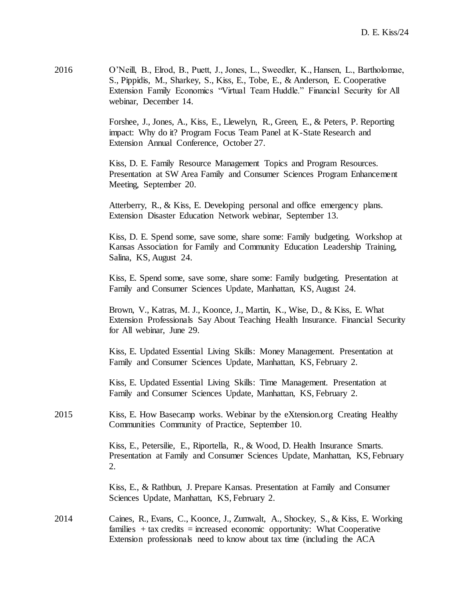| 2016 | O'Neill, B., Elrod, B., Puett, J., Jones, L., Sweedler, K., Hansen, L., Bartholomae, |
|------|--------------------------------------------------------------------------------------|
|      | S., Pippidis, M., Sharkey, S., Kiss, E., Tobe, E., & Anderson, E. Cooperative        |
|      | Extension Family Economics "Virtual Team Huddle." Financial Security for All         |
|      | webinar, December 14.                                                                |

Forshee, J., Jones, A., Kiss, E., Llewelyn, R., Green, E., & Peters, P. Reporting impact: Why do it? Program Focus Team Panel at K-State Research and Extension Annual Conference, October 27.

Kiss, D. E. Family Resource Management Topics and Program Resources. Presentation at SW Area Family and Consumer Sciences Program Enhancement Meeting, September 20.

Atterberry, R., & Kiss, E. Developing personal and office emergency plans. Extension Disaster Education Network webinar, September 13.

Kiss, D. E. Spend some, save some, share some: Family budgeting. Workshop at Kansas Association for Family and Community Education Leadership Training, Salina, KS, August 24.

Kiss, E. Spend some, save some, share some: Family budgeting. Presentation at Family and Consumer Sciences Update, Manhattan, KS, August 24.

Brown, V., Katras, M. J., Koonce, J., Martin, K., Wise, D., & Kiss, E. What Extension Professionals Say About Teaching Health Insurance. Financial Security for All webinar, June 29.

Kiss, E. Updated Essential Living Skills: Money Management. Presentation at Family and Consumer Sciences Update, Manhattan, KS, February 2.

Kiss, E. Updated Essential Living Skills: Time Management. Presentation at Family and Consumer Sciences Update, Manhattan, KS, February 2.

2015 Kiss, E. How Basecamp works. Webinar by the eXtension.org Creating Healthy Communities Community of Practice, September 10.

> Kiss, E., Petersilie, E., Riportella, R., & Wood, D. Health Insurance Smarts. Presentation at Family and Consumer Sciences Update, Manhattan, KS, February 2.

Kiss, E., & Rathbun, J. Prepare Kansas. Presentation at Family and Consumer Sciences Update, Manhattan, KS, February 2.

2014 Caines, R., Evans, C., Koonce, J., Zumwalt, A., Shockey, S., & Kiss, E. Working families  $+$  tax credits  $=$  increased economic opportunity: What Cooperative Extension professionals need to know about tax time (including the ACA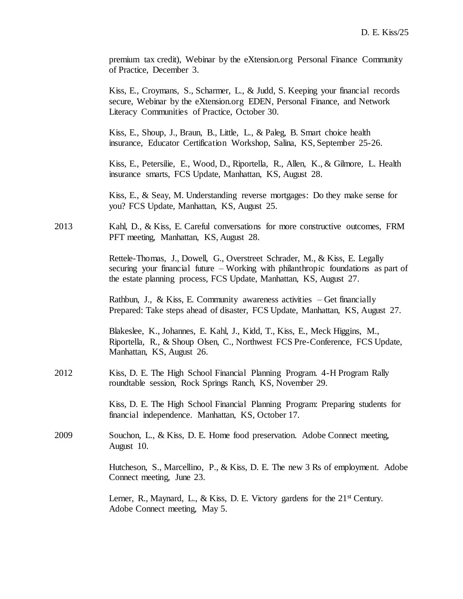premium tax credit), Webinar by the eXtension.org Personal Finance Community of Practice, December 3.

Kiss, E., Croymans, S., Scharmer, L., & Judd, S. Keeping your financial records secure, Webinar by the eXtension.org EDEN, Personal Finance, and Network Literacy Communities of Practice, October 30.

Kiss, E., Shoup, J., Braun, B., Little, L., & Paleg, B. Smart choice health insurance, Educator Certification Workshop, Salina, KS, September 25-26.

Kiss, E., Petersilie, E., Wood, D., Riportella, R., Allen, K., & Gilmore, L. Health insurance smarts, FCS Update, Manhattan, KS, August 28.

Kiss, E., & Seay, M. Understanding reverse mortgages: Do they make sense for you? FCS Update, Manhattan, KS, August 25.

2013 Kahl, D., & Kiss, E. Careful conversations for more constructive outcomes, FRM PFT meeting, Manhattan, KS, August 28.

> Rettele-Thomas, J., Dowell, G., Overstreet Schrader, M., & Kiss, E. Legally securing your financial future – Working with philanthropic foundations as part of the estate planning process, FCS Update, Manhattan, KS, August 27.

Rathbun, J., & Kiss, E. Community awareness activities  $-$  Get financially Prepared: Take steps ahead of disaster, FCS Update, Manhattan, KS, August 27.

Blakeslee, K., Johannes, E. Kahl, J., Kidd, T., Kiss, E., Meck Higgins, M., Riportella, R., & Shoup Olsen, C., Northwest FCS Pre-Conference, FCS Update, Manhattan, KS, August 26.

2012 Kiss, D. E. The High School Financial Planning Program. 4-H Program Rally roundtable session, Rock Springs Ranch, KS, November 29.

> Kiss, D. E. The High School Financial Planning Program: Preparing students for financial independence. Manhattan, KS, October 17.

2009 Souchon, L., & Kiss, D. E. Home food preservation. Adobe Connect meeting, August 10.

> Hutcheson, S., Marcellino, P., & Kiss, D. E. The new 3 Rs of employment. Adobe Connect meeting, June 23.

Lerner, R., Maynard, L., & Kiss, D. E. Victory gardens for the  $21<sup>st</sup>$  Century. Adobe Connect meeting, May 5.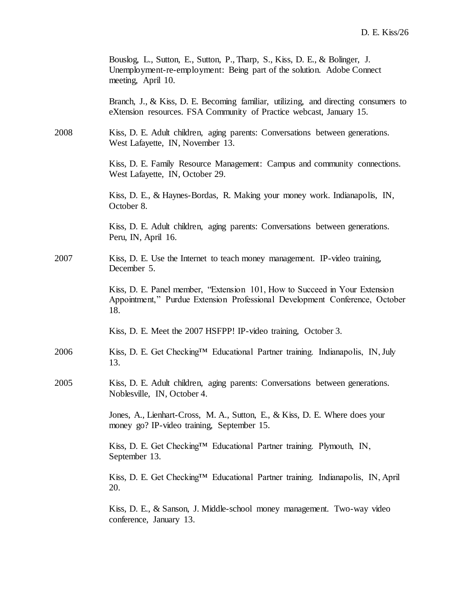|      | Bouslog, L., Sutton, E., Sutton, P., Tharp, S., Kiss, D. E., & Bolinger, J.<br>Unemployment-re-employment: Being part of the solution. Adobe Connect<br>meeting, April 10. |
|------|----------------------------------------------------------------------------------------------------------------------------------------------------------------------------|
|      | Branch, J., & Kiss, D. E. Becoming familiar, utilizing, and directing consumers to<br>eXtension resources. FSA Community of Practice webcast, January 15.                  |
| 2008 | Kiss, D. E. Adult children, aging parents: Conversations between generations.<br>West Lafayette, IN, November 13.                                                          |
|      | Kiss, D. E. Family Resource Management: Campus and community connections.<br>West Lafayette, IN, October 29.                                                               |
|      | Kiss, D. E., & Haynes-Bordas, R. Making your money work. Indianapolis, IN,<br>October 8.                                                                                   |
|      | Kiss, D. E. Adult children, aging parents: Conversations between generations.<br>Peru, IN, April 16.                                                                       |
| 2007 | Kiss, D. E. Use the Internet to teach money management. IP-video training,<br>December 5.                                                                                  |
|      | Kiss, D. E. Panel member, "Extension 101, How to Succeed in Your Extension<br>Appointment," Purdue Extension Professional Development Conference, October<br>18.           |
|      | Kiss, D. E. Meet the 2007 HSFPP! IP-video training, October 3.                                                                                                             |
| 2006 | Kiss, D. E. Get Checking™ Educational Partner training. Indianapolis, IN, July<br>13.                                                                                      |
| 2005 | Kiss, D. E. Adult children, aging parents: Conversations between generations.<br>Noblesville, IN, October 4.                                                               |
|      | Jones, A., Lienhart-Cross, M. A., Sutton, E., & Kiss, D. E. Where does your<br>money go? IP-video training, September 15.                                                  |
|      | Kiss, D. E. Get Checking™ Educational Partner training. Plymouth, IN,<br>September 13.                                                                                     |
|      | Kiss, D. E. Get Checking™ Educational Partner training. Indianapolis, IN, April<br>20.                                                                                     |
|      | Kiss, D. E., & Sanson, J. Middle-school money management. Two-way video<br>conference, January 13.                                                                         |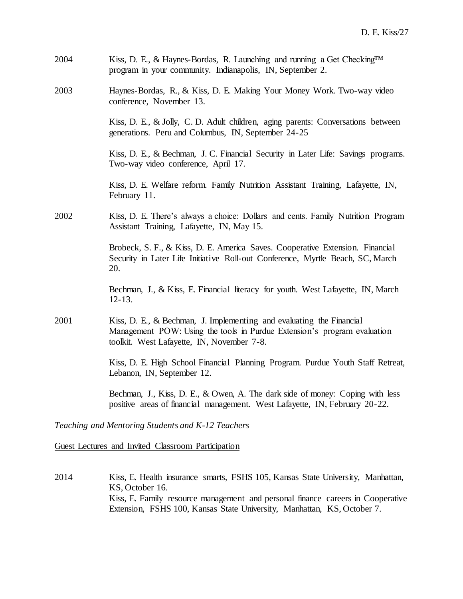| 2004 | Kiss, D. E., & Haynes-Bordas, R. Launching and running a Get Checking <sup>TM</sup><br>program in your community. Indianapolis, IN, September 2.                                               |
|------|------------------------------------------------------------------------------------------------------------------------------------------------------------------------------------------------|
| 2003 | Haynes-Bordas, R., & Kiss, D. E. Making Your Money Work. Two-way video<br>conference, November 13.                                                                                             |
|      | Kiss, D. E., & Jolly, C. D. Adult children, aging parents: Conversations between<br>generations. Peru and Columbus, IN, September 24-25                                                        |
|      | Kiss, D. E., & Bechman, J. C. Financial Security in Later Life: Savings programs.<br>Two-way video conference, April 17.                                                                       |
|      | Kiss, D. E. Welfare reform. Family Nutrition Assistant Training, Lafayette, IN,<br>February 11.                                                                                                |
| 2002 | Kiss, D. E. There's always a choice: Dollars and cents. Family Nutrition Program<br>Assistant Training, Lafayette, IN, May 15.                                                                 |
|      | Brobeck, S. F., & Kiss, D. E. America Saves. Cooperative Extension. Financial<br>Security in Later Life Initiative Roll-out Conference, Myrtle Beach, SC, March<br>20.                         |
|      | Bechman, J., & Kiss, E. Financial literacy for youth. West Lafayette, IN, March<br>$12 - 13.$                                                                                                  |
| 2001 | Kiss, D. E., & Bechman, J. Implementing and evaluating the Financial<br>Management POW: Using the tools in Purdue Extension's program evaluation<br>toolkit. West Lafayette, IN, November 7-8. |
|      | Kiss, D. E. High School Financial Planning Program. Purdue Youth Staff Retreat,<br>Lebanon, IN, September 12.                                                                                  |
|      | Bechman, J., Kiss, D. E., & Owen, A. The dark side of money: Coping with less<br>positive areas of financial management. West Lafayette, IN, February 20-22.                                   |
|      |                                                                                                                                                                                                |

*Teaching and Mentoring Students and K-12 Teachers*

Guest Lectures and Invited Classroom Participation

2014 Kiss, E. Health insurance smarts, FSHS 105, Kansas State University, Manhattan, KS, October 16. Kiss, E. Family resource management and personal finance careers in Cooperative Extension, FSHS 100, Kansas State University, Manhattan, KS, October 7.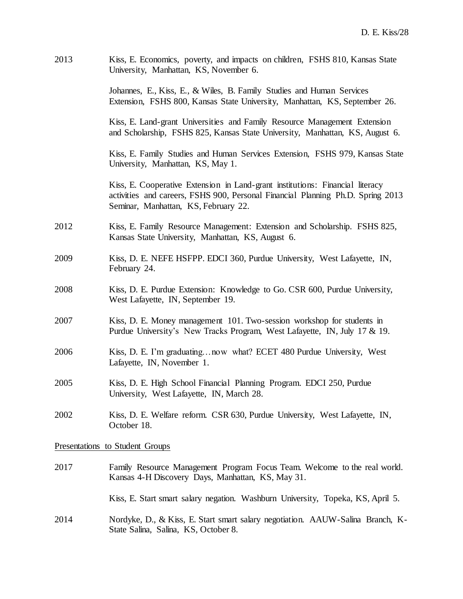| 2013 | Kiss, E. Economics, poverty, and impacts on children, FSHS 810, Kansas State<br>University, Manhattan, KS, November 6.                                                                                   |
|------|----------------------------------------------------------------------------------------------------------------------------------------------------------------------------------------------------------|
|      | Johannes, E., Kiss, E., & Wiles, B. Family Studies and Human Services<br>Extension, FSHS 800, Kansas State University, Manhattan, KS, September 26.                                                      |
|      | Kiss, E. Land-grant Universities and Family Resource Management Extension<br>and Scholarship, FSHS 825, Kansas State University, Manhattan, KS, August 6.                                                |
|      | Kiss, E. Family Studies and Human Services Extension, FSHS 979, Kansas State<br>University, Manhattan, KS, May 1.                                                                                        |
|      | Kiss, E. Cooperative Extension in Land-grant institutions: Financial literacy<br>activities and careers, FSHS 900, Personal Financial Planning Ph.D. Spring 2013<br>Seminar, Manhattan, KS, February 22. |
| 2012 | Kiss, E. Family Resource Management: Extension and Scholarship. FSHS 825,<br>Kansas State University, Manhattan, KS, August 6.                                                                           |
| 2009 | Kiss, D. E. NEFE HSFPP. EDCI 360, Purdue University, West Lafayette, IN,<br>February 24.                                                                                                                 |
| 2008 | Kiss, D. E. Purdue Extension: Knowledge to Go. CSR 600, Purdue University,<br>West Lafayette, IN, September 19.                                                                                          |
| 2007 | Kiss, D. E. Money management 101. Two-session workshop for students in<br>Purdue University's New Tracks Program, West Lafayette, IN, July 17 & 19.                                                      |
| 2006 | Kiss, D. E. I'm graduating now what? ECET 480 Purdue University, West<br>Lafayette, IN, November 1.                                                                                                      |
| 2005 | Kiss, D. E. High School Financial Planning Program. EDCI 250, Purdue<br>University, West Lafayette, IN, March 28.                                                                                        |
| 2002 | Kiss, D. E. Welfare reform. CSR 630, Purdue University, West Lafayette, IN,<br>October 18.                                                                                                               |
|      | Presentations to Student Groups                                                                                                                                                                          |
| 2017 | Family Resource Management Program Focus Team. Welcome to the real world.<br>Kansas 4-H Discovery Days, Manhattan, KS, May 31.                                                                           |
|      | Kiss, E. Start smart salary negation. Washburn University, Topeka, KS, April 5.                                                                                                                          |
| 2014 | Nordyke, D., & Kiss, E. Start smart salary negotiation. AAUW-Salina Branch, K-<br>State Salina, Salina, KS, October 8.                                                                                   |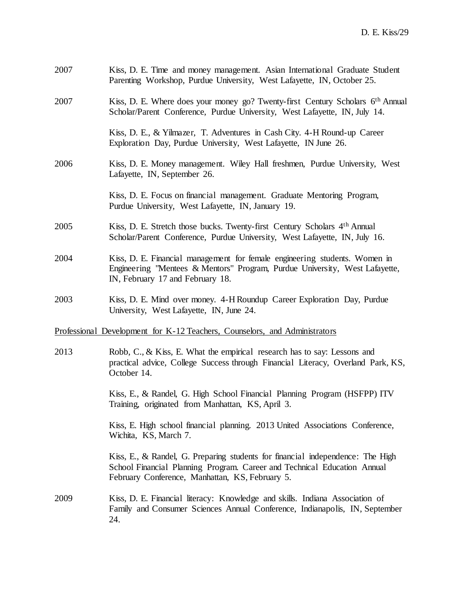| 2007 | Kiss, D. E. Time and money management. Asian International Graduate Student<br>Parenting Workshop, Purdue University, West Lafayette, IN, October 25.                                                         |
|------|---------------------------------------------------------------------------------------------------------------------------------------------------------------------------------------------------------------|
| 2007 | Kiss, D. E. Where does your money go? Twenty-first Century Scholars 6 <sup>th</sup> Annual<br>Scholar/Parent Conference, Purdue University, West Lafayette, IN, July 14.                                      |
|      | Kiss, D. E., & Yilmazer, T. Adventures in Cash City. 4-H Round-up Career<br>Exploration Day, Purdue University, West Lafayette, IN June 26.                                                                   |
| 2006 | Kiss, D. E. Money management. Wiley Hall freshmen, Purdue University, West<br>Lafayette, IN, September 26.                                                                                                    |
|      | Kiss, D. E. Focus on financial management. Graduate Mentoring Program,<br>Purdue University, West Lafayette, IN, January 19.                                                                                  |
| 2005 | Kiss, D. E. Stretch those bucks. Twenty-first Century Scholars 4 <sup>th</sup> Annual<br>Scholar/Parent Conference, Purdue University, West Lafayette, IN, July 16.                                           |
| 2004 | Kiss, D. E. Financial management for female engineering students. Women in<br>Engineering "Mentees & Mentors" Program, Purdue University, West Lafayette,<br>IN, February 17 and February 18.                 |
| 2003 | Kiss, D. E. Mind over money. 4-H Roundup Career Exploration Day, Purdue<br>University, West Lafayette, IN, June 24.                                                                                           |
|      | Professional Development for K-12 Teachers, Counselors, and Administrators                                                                                                                                    |
| 2013 | Robb, C., & Kiss, E. What the empirical research has to say: Lessons and<br>practical advice, College Success through Financial Literacy, Overland Park, KS,<br>October 14.                                   |
|      | Kiss, E., & Randel, G. High School Financial Planning Program (HSFPP) ITV<br>Training, originated from Manhattan, KS, April 3.                                                                                |
|      | Kiss, E. High school financial planning. 2013 United Associations Conference,<br>Wichita, KS, March 7.                                                                                                        |
|      | Kiss, E., & Randel, G. Preparing students for financial independence: The High<br>School Financial Planning Program. Career and Technical Education Annual<br>February Conference, Manhattan, KS, February 5. |
| 2009 | Kiss, D. E. Financial literacy: Knowledge and skills. Indiana Association of<br>Family and Consumer Sciences Annual Conference, Indianapolis, IN, September<br>24.                                            |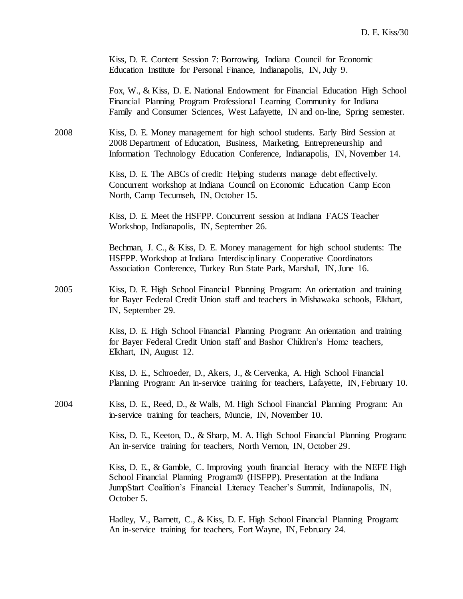|      | Kiss, D. E. Content Session 7: Borrowing. Indiana Council for Economic<br>Education Institute for Personal Finance, Indianapolis, IN, July 9.                                                                                                                        |
|------|----------------------------------------------------------------------------------------------------------------------------------------------------------------------------------------------------------------------------------------------------------------------|
|      | Fox, W., & Kiss, D. E. National Endowment for Financial Education High School<br>Financial Planning Program Professional Learning Community for Indiana<br>Family and Consumer Sciences, West Lafayette, IN and on-line, Spring semester.                            |
| 2008 | Kiss, D. E. Money management for high school students. Early Bird Session at<br>2008 Department of Education, Business, Marketing, Entrepreneurship and<br>Information Technology Education Conference, Indianapolis, IN, November 14.                               |
|      | Kiss, D. E. The ABCs of credit: Helping students manage debt effectively.<br>Concurrent workshop at Indiana Council on Economic Education Camp Econ<br>North, Camp Tecumseh, IN, October 15.                                                                         |
|      | Kiss, D. E. Meet the HSFPP. Concurrent session at Indiana FACS Teacher<br>Workshop, Indianapolis, IN, September 26.                                                                                                                                                  |
|      | Bechman, J. C., & Kiss, D. E. Money management for high school students: The<br>HSFPP. Workshop at Indiana Interdisciplinary Cooperative Coordinators<br>Association Conference, Turkey Run State Park, Marshall, IN, June 16.                                       |
| 2005 | Kiss, D. E. High School Financial Planning Program: An orientation and training<br>for Bayer Federal Credit Union staff and teachers in Mishawaka schools, Elkhart,<br>IN, September 29.                                                                             |
|      | Kiss, D. E. High School Financial Planning Program: An orientation and training<br>for Bayer Federal Credit Union staff and Bashor Children's Home teachers,<br>Elkhart, IN, August 12.                                                                              |
|      | Kiss, D. E., Schroeder, D., Akers, J., & Cervenka, A. High School Financial<br>Planning Program: An in-service training for teachers, Lafayette, IN, February 10.                                                                                                    |
| 2004 | Kiss, D. E., Reed, D., & Walls, M. High School Financial Planning Program: An<br>in-service training for teachers, Muncie, IN, November 10.                                                                                                                          |
|      | Kiss, D. E., Keeton, D., & Sharp, M. A. High School Financial Planning Program:<br>An in-service training for teachers, North Vernon, IN, October 29.                                                                                                                |
|      | Kiss, D. E., & Gamble, C. Improving youth financial literacy with the NEFE High<br>School Financial Planning Program <sup>®</sup> (HSFPP). Presentation at the Indiana<br>JumpStart Coalition's Financial Literacy Teacher's Summit, Indianapolis, IN,<br>October 5. |
|      | Hadley, V., Barnett, C., & Kiss, D. E. High School Financial Planning Program:<br>An in-service training for teachers, Fort Wayne, IN, February 24.                                                                                                                  |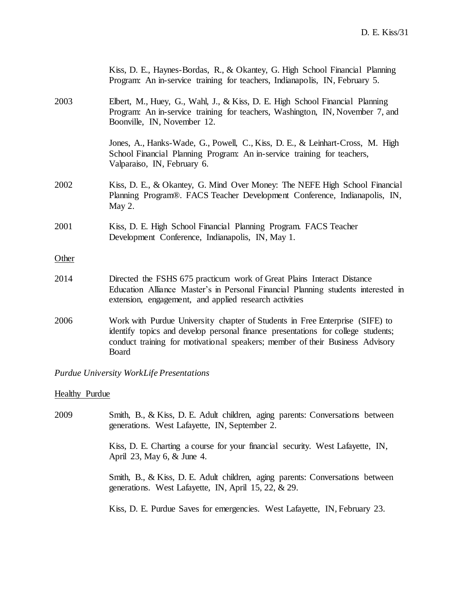|       | Kiss, D. E., Haynes-Bordas, R., & Okantey, G. High School Financial Planning<br>Program: An in-service training for teachers, Indianapolis, IN, February 5.                                                                                                |
|-------|------------------------------------------------------------------------------------------------------------------------------------------------------------------------------------------------------------------------------------------------------------|
| 2003  | Elbert, M., Huey, G., Wahl, J., & Kiss, D. E. High School Financial Planning<br>Program: An in-service training for teachers, Washington, IN, November 7, and<br>Boonville, IN, November 12.                                                               |
|       | Jones, A., Hanks-Wade, G., Powell, C., Kiss, D. E., & Leinhart-Cross, M. High<br>School Financial Planning Program: An in-service training for teachers,<br>Valparaiso, IN, February 6.                                                                    |
| 2002  | Kiss, D. E., & Okantey, G. Mind Over Money: The NEFE High School Financial<br>Planning Program®. FACS Teacher Development Conference, Indianapolis, IN,<br>May 2.                                                                                          |
| 2001  | Kiss, D. E. High School Financial Planning Program. FACS Teacher<br>Development Conference, Indianapolis, IN, May 1.                                                                                                                                       |
| Other |                                                                                                                                                                                                                                                            |
| 2014  | Directed the FSHS 675 practicum work of Great Plains Interact Distance<br>Education Alliance Master's in Personal Financial Planning students interested in<br>extension, engagement, and applied research activities                                      |
| 2006  | Work with Purdue University chapter of Students in Free Enterprise (SIFE) to<br>identify topics and develop personal finance presentations for college students;<br>conduct training for motivational speakers; member of their Business Advisory<br>Board |
|       |                                                                                                                                                                                                                                                            |

*Purdue University WorkLife Presentations*

### **Healthy Purdue**

2009 Smith, B., & Kiss, D. E. Adult children, aging parents: Conversations between generations. West Lafayette, IN, September 2. Kiss, D. E. Charting a course for your financial security. West Lafayette, IN,

April 23, May 6, & June 4.

Smith, B., & Kiss, D. E. Adult children, aging parents: Conversations between generations. West Lafayette, IN, April 15, 22, & 29.

Kiss, D. E. Purdue Saves for emergencies. West Lafayette, IN, February 23.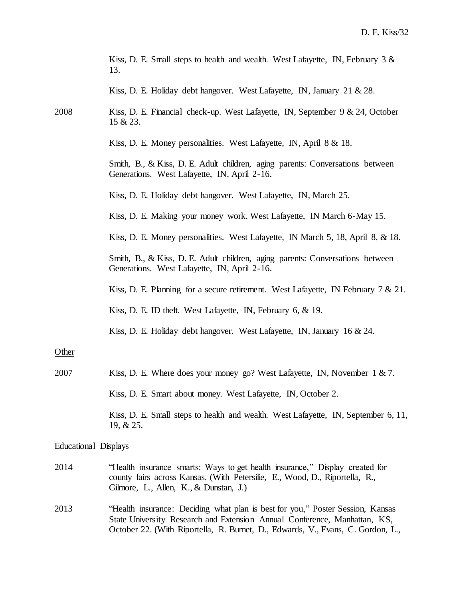|                      | Kiss, D. E. Small steps to health and wealth. West Lafayette, IN, February $3 \&$<br>13.                                                                                                                                                       |
|----------------------|------------------------------------------------------------------------------------------------------------------------------------------------------------------------------------------------------------------------------------------------|
|                      | Kiss, D. E. Holiday debt hangover. West Lafayette, IN, January 21 & 28.                                                                                                                                                                        |
| 2008                 | Kiss, D. E. Financial check-up. West Lafayette, IN, September $9 \& 24$ , October<br>15 & 23.                                                                                                                                                  |
|                      | Kiss, D. E. Money personalities. West Lafayette, IN, April 8 & 18.                                                                                                                                                                             |
|                      | Smith, B., & Kiss, D. E. Adult children, aging parents: Conversations between<br>Generations. West Lafayette, IN, April 2-16.                                                                                                                  |
|                      | Kiss, D. E. Holiday debt hangover. West Lafayette, IN, March 25.                                                                                                                                                                               |
|                      | Kiss, D. E. Making your money work. West Lafayette, IN March 6-May 15.                                                                                                                                                                         |
|                      | Kiss, D. E. Money personalities. West Lafayette, IN March 5, 18, April 8, & 18.                                                                                                                                                                |
|                      | Smith, B., & Kiss, D. E. Adult children, aging parents: Conversations between<br>Generations. West Lafayette, IN, April 2-16.                                                                                                                  |
|                      | Kiss, D. E. Planning for a secure retirement. West Lafayette, IN February $7 & 21$ .                                                                                                                                                           |
|                      | Kiss, D. E. ID theft. West Lafayette, IN, February 6, & 19.                                                                                                                                                                                    |
|                      | Kiss, D. E. Holiday debt hangover. West Lafayette, IN, January $16 \& 24$ .                                                                                                                                                                    |
| Other                |                                                                                                                                                                                                                                                |
| 2007                 | Kiss, D. E. Where does your money go? West Lafayette, IN, November 1 & 7.                                                                                                                                                                      |
|                      | Kiss, D. E. Smart about money. West Lafayette, IN, October 2.                                                                                                                                                                                  |
|                      | Kiss, D. E. Small steps to health and wealth. West Lafayette, IN, September 6, 11,<br>19, & 25.                                                                                                                                                |
| Educational Displays |                                                                                                                                                                                                                                                |
| 2014                 | "Health insurance smarts: Ways to get health insurance," Display created for<br>county fairs across Kansas. (With Petersilie, E., Wood, D., Riportella, R.,<br>Gilmore, L., Allen, K., & Dunstan, J.)                                          |
| 2013                 | "Health insurance: Deciding what plan is best for you," Poster Session, Kansas<br>State University Research and Extension Annual Conference, Manhattan, KS,<br>October 22. (With Riportella, R. Burnet, D., Edwards, V., Evans, C. Gordon, L., |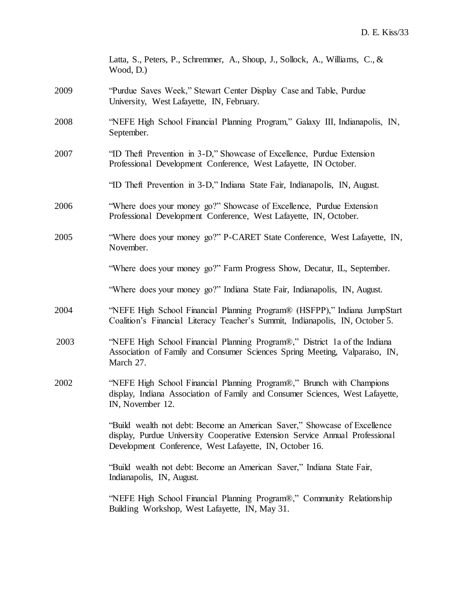|      | Latta, S., Peters, P., Schremmer, A., Shoup, J., Sollock, A., Williams, C., &<br>Wood, D.)                                                                                                                           |
|------|----------------------------------------------------------------------------------------------------------------------------------------------------------------------------------------------------------------------|
| 2009 | "Purdue Saves Week," Stewart Center Display Case and Table, Purdue<br>University, West Lafayette, IN, February.                                                                                                      |
| 2008 | "NEFE High School Financial Planning Program," Galaxy III, Indianapolis, IN,<br>September.                                                                                                                           |
| 2007 | "ID Theft Prevention in 3-D," Showcase of Excellence, Purdue Extension<br>Professional Development Conference, West Lafayette, IN October.                                                                           |
|      | "ID Theft Prevention in 3-D," Indiana State Fair, Indianapolis, IN, August.                                                                                                                                          |
| 2006 | "Where does your money go?" Showcase of Excellence, Purdue Extension<br>Professional Development Conference, West Lafayette, IN, October.                                                                            |
| 2005 | "Where does your money go?" P-CARET State Conference, West Lafayette, IN,<br>November.                                                                                                                               |
|      | "Where does your money go?" Farm Progress Show, Decatur, IL, September.                                                                                                                                              |
|      | "Where does your money go?" Indiana State Fair, Indianapolis, IN, August.                                                                                                                                            |
| 2004 | "NEFE High School Financial Planning Program® (HSFPP)," Indiana JumpStart<br>Coalition's Financial Literacy Teacher's Summit, Indianapolis, IN, October 5.                                                           |
| 2003 | "NEFE High School Financial Planning Program®," District 1a of the Indiana<br>Association of Family and Consumer Sciences Spring Meeting, Valparaiso, IN,<br>March 27.                                               |
| 2002 | "NEFE High School Financial Planning Program®," Brunch with Champions<br>display, Indiana Association of Family and Consumer Sciences, West Lafayette,<br>IN, November 12.                                           |
|      | "Build wealth not debt: Become an American Saver," Showcase of Excellence<br>display, Purdue University Cooperative Extension Service Annual Professional<br>Development Conference, West Lafayette, IN, October 16. |
|      | "Build wealth not debt: Become an American Saver," Indiana State Fair,<br>Indianapolis, IN, August.                                                                                                                  |
|      | "NEFE High School Financial Planning Program®," Community Relationship<br>Building Workshop, West Lafayette, IN, May 31.                                                                                             |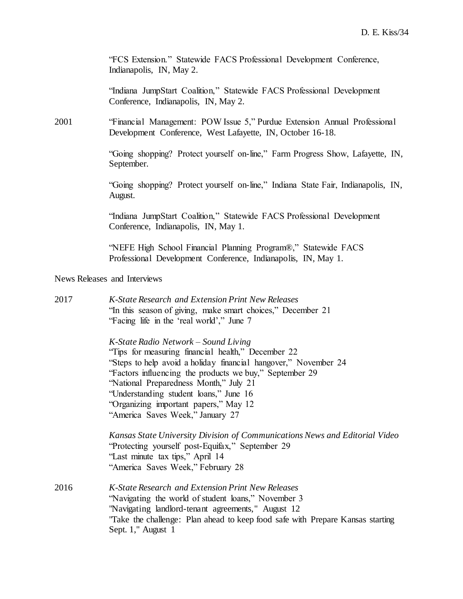"FCS Extension." Statewide FACS Professional Development Conference, Indianapolis, IN, May 2.

"Indiana JumpStart Coalition," Statewide FACS Professional Development Conference, Indianapolis, IN, May 2.

2001 "Financial Management: POW Issue 5," Purdue Extension Annual Professional Development Conference, West Lafayette, IN, October 16-18.

> "Going shopping? Protect yourself on-line," Farm Progress Show, Lafayette, IN, September.

> "Going shopping? Protect yourself on-line," Indiana State Fair, Indianapolis, IN, August.

"Indiana JumpStart Coalition," Statewide FACS Professional Development Conference, Indianapolis, IN, May 1.

"NEFE High School Financial Planning Program®," Statewide FACS Professional Development Conference, Indianapolis, IN, May 1.

News Releases and Interviews

| Kansas State University Division of Communications News and Editorial Video   |
|-------------------------------------------------------------------------------|
|                                                                               |
|                                                                               |
|                                                                               |
|                                                                               |
|                                                                               |
|                                                                               |
| Take the challenge: Plan ahead to keep food safe with Prepare Kansas starting |
|                                                                               |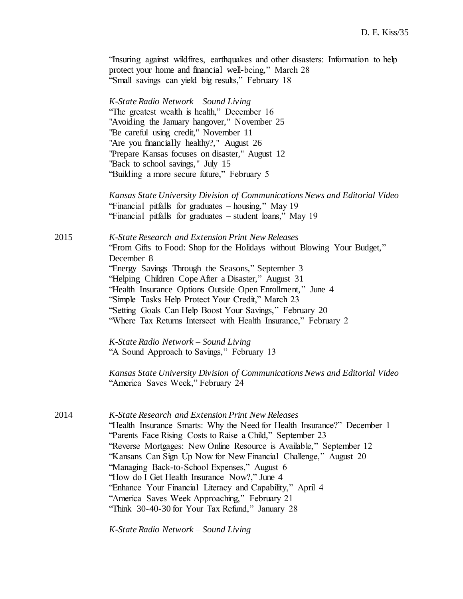|      | "Insuring against wildfires, earthquakes and other disasters: Information to help<br>protect your home and financial well-being," March 28<br>"Small savings can yield big results," February 18                                                                                                                                                                                                                                                                                                                                                                                                         |
|------|----------------------------------------------------------------------------------------------------------------------------------------------------------------------------------------------------------------------------------------------------------------------------------------------------------------------------------------------------------------------------------------------------------------------------------------------------------------------------------------------------------------------------------------------------------------------------------------------------------|
|      | K-State Radio Network – Sound Living<br>"The greatest wealth is health," December 16<br>"Avoiding the January hangover," November 25<br>"Be careful using credit," November 11<br>"Are you financially healthy?," August 26<br>"Prepare Kansas focuses on disaster," August 12<br>"Back to school savings," July 15<br>"Building a more secure future," February 5                                                                                                                                                                                                                                       |
|      | Kansas State University Division of Communications News and Editorial Video<br>"Financial pitfalls for graduates – housing," May 19<br>"Financial pitfalls for graduates – student loans," May 19                                                                                                                                                                                                                                                                                                                                                                                                        |
| 2015 | K-State Research and Extension Print New Releases<br>"From Gifts to Food: Shop for the Holidays without Blowing Your Budget,"<br>December 8<br>"Energy Savings Through the Seasons," September 3<br>"Helping Children Cope After a Disaster," August 31<br>"Health Insurance Options Outside Open Enrollment," June 4<br>"Simple Tasks Help Protect Your Credit," March 23<br>"Setting Goals Can Help Boost Your Savings," February 20<br>"Where Tax Returns Intersect with Health Insurance," February 2                                                                                                |
|      | K-State Radio Network – Sound Living<br>"A Sound Approach to Savings," February 13                                                                                                                                                                                                                                                                                                                                                                                                                                                                                                                       |
|      | Kansas State University Division of Communications News and Editorial Video<br>"America Saves Week," February 24                                                                                                                                                                                                                                                                                                                                                                                                                                                                                         |
| 2014 | K-State Research and Extension Print New Releases<br>"Health Insurance Smarts: Why the Need for Health Insurance?" December 1<br>"Parents Face Rising Costs to Raise a Child," September 23<br>"Reverse Mortgages: New Online Resource is Available," September 12<br>"Kansans Can Sign Up Now for New Financial Challenge," August 20<br>"Managing Back-to-School Expenses," August 6<br>"How do I Get Health Insurance Now?," June 4<br>"Enhance Your Financial Literacy and Capability," April 4<br>"America Saves Week Approaching," February 21<br>"Think 30-40-30 for Your Tax Refund," January 28 |

*K-State Radio Network – Sound Living*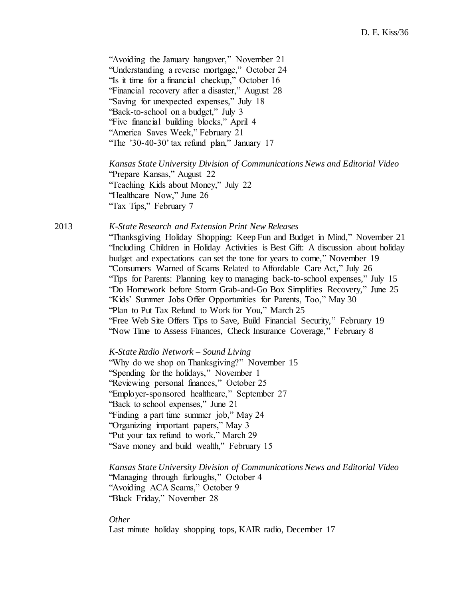"Avoiding the January hangover," November 21 "Understanding a reverse mortgage," October 24 "Is it time for a financial checkup," October 16 "Financial recovery after a disaster," August 28 "Saving for unexpected expenses," July 18 "Back-to-school on a budget," July 3 "Five financial building blocks," April 4 "America Saves Week," February 21 "The '30-40-30' tax refund plan," January 17

*Kansas State University Division of Communications News and Editorial Video* "Prepare Kansas," August 22 "Teaching Kids about Money," July 22 "Healthcare Now," June 26 "Tax Tips," February 7

2013 *K-State Research and Extension Print New Releases*

"Thanksgiving Holiday Shopping: Keep Fun and Budget in Mind," November 21 "Including Children in Holiday Activities is Best Gift: A discussion about holiday budget and expectations can set the tone for years to come," November 19 "Consumers Warned of Scams Related to Affordable Care Act," July 26 "Tips for Parents: Planning key to managing back-to-school expenses," July 15 "Do Homework before Storm Grab-and-Go Box Simplifies Recovery," June 25 "Kids' Summer Jobs Offer Opportunities for Parents, Too," May 30 "Plan to Put Tax Refund to Work for You," March 25 "Free Web Site Offers Tips to Save, Build Financial Security," February 19 "Now Time to Assess Finances, Check Insurance Coverage," February 8

*K-State Radio Network – Sound Living*

"Why do we shop on Thanksgiving?" November 15 "Spending for the holidays," November 1 "Reviewing personal finances," October 25 "Employer-sponsored healthcare," September 27 "Back to school expenses," June 21 "Finding a part time summer job," May 24 "Organizing important papers," May 3 "Put your tax refund to work," March 29 "Save money and build wealth," February 15

*Kansas State University Division of Communications News and Editorial Video* "Managing through furloughs," October 4 "Avoiding ACA Scams," October 9 "Black Friday," November 28

*Other* Last minute holiday shopping tops, KAIR radio, December 17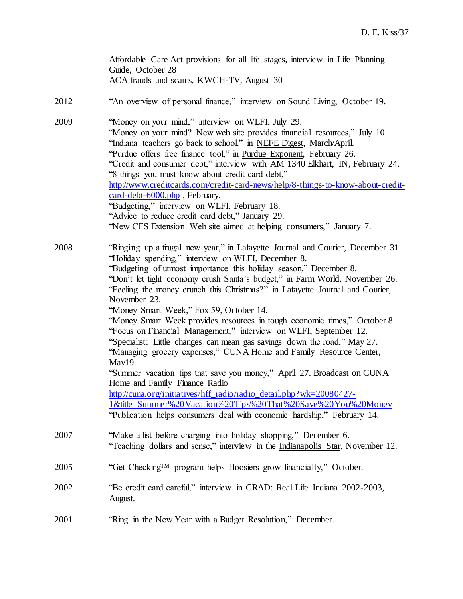Affordable Care Act provisions for all life stages, interview in Life Planning Guide, October 28 ACA frauds and scams, KWCH-TV, August 30

- 2012 "An overview of personal finance," interview on Sound Living, October 19.
- 2009 "Money on your mind," interview on WLFI, July 29. "Money on your mind? New web site provides financial resources," July 10. "Indiana teachers go back to school," in NEFE Digest, March/April. "Purdue offers free finance tool," in Purdue Exponent, February 26. "Credit and consumer debt," interview with AM 1340 Elkhart, IN, February 24. "8 things you must know about credit card debt," [http://www.creditcards.com/credit-card-news/help/8-things-to-know-about-credit](http://www.creditcards.com/credit-card-news/help/8-things-to-know-about-credit-card-debt-6000.php)[card-debt-6000.php](http://www.creditcards.com/credit-card-news/help/8-things-to-know-about-credit-card-debt-6000.php) , February. "Budgeting," interview on WLFI, February 18. "Advice to reduce credit card debt," January 29. "New CFS Extension Web site aimed at helping consumers," January 7.

2008 "Ringing up a frugal new year," in Lafayette Journal and Courier, December 31. "Holiday spending," interview on WLFI, December 8. "Budgeting of utmost importance this holiday season," December 8. "Don't let tight economy crush Santa's budget," in Farm World, November 26. "Feeling the money crunch this Christmas?" in Lafayette Journal and Courier, November 23. "Money Smart Week," Fox 59, October 14. "Money Smart Week provides resources in tough economic times," October 8. "Focus on Financial Management," interview on WLFI, September 12. "Specialist: Little changes can mean gas savings down the road," May 27. "Managing grocery expenses," CUNA Home and Family Resource Center, May19. "Summer vacation tips that save you money," April 27. Broadcast on CUNA Home and Family Finance Radio [http://cuna.org/initiatives/hff\\_radio/radio\\_detail.php?wk=20080427-](http://cuna.org/initiatives/hff_radio/radio_detail.php?wk=20080427-1&title=Summer%20Vacation%20Tips%20That%20Save%20You%20Money) [1&title=Summer%20Vacation%20Tips%20That%20Save%20You%20Money](http://cuna.org/initiatives/hff_radio/radio_detail.php?wk=20080427-1&title=Summer%20Vacation%20Tips%20That%20Save%20You%20Money) "Publication helps consumers deal with economic hardship," February 14. 2007 "Make a list before charging into holiday shopping," December 6. "Teaching dollars and sense," interview in the Indianapolis Star, November 12.  $2005$  "Get Checking<sup>TM</sup> program helps Hoosiers grow financially," October. 2002 "Be credit card careful," interview in GRAD: Real Life Indiana 2002-2003, August.

2001 "Ring in the New Year with a Budget Resolution," December.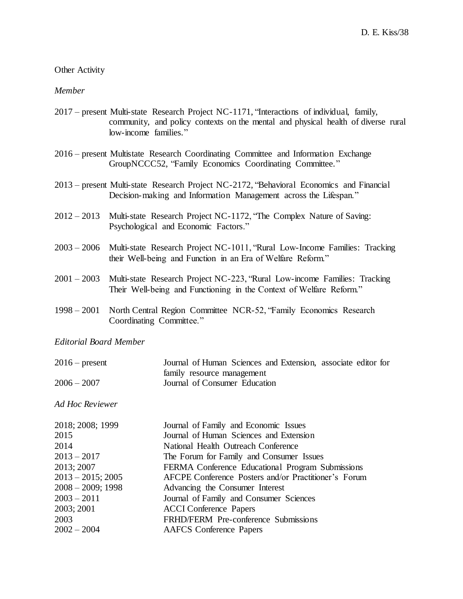### Other Activity

### *Member*

- 2017 present Multi-state Research Project NC-1171, "Interactions of individual, family, community, and policy contexts on the mental and physical health of diverse rural low-income families."
- 2016 present Multistate Research Coordinating Committee and Information Exchange GroupNCCC52, "Family Economics Coordinating Committee."
- 2013 present Multi-state Research Project NC-2172, "Behavioral Economics and Financial Decision-making and Information Management across the Lifespan."
- 2012 2013 Multi-state Research Project NC-1172, "The Complex Nature of Saving: Psychological and Economic Factors."
- 2003 2006 Multi-state Research Project NC-1011, "Rural Low-Income Families: Tracking their Well-being and Function in an Era of Welfare Reform."
- 2001 2003 Multi-state Research Project NC-223, "Rural Low-income Families: Tracking Their Well-being and Functioning in the Context of Welfare Reform."
- 1998 2001 North Central Region Committee NCR-52, "Family Economics Research Coordinating Committee."

## *Editorial Board Member*

| $2016$ – present       | Journal of Human Sciences and Extension, associate editor for<br>family resource management |
|------------------------|---------------------------------------------------------------------------------------------|
| $2006 - 2007$          | Journal of Consumer Education                                                               |
| <b>Ad Hoc Reviewer</b> |                                                                                             |
| 2018; 2008; 1999       | Journal of Family and Economic Issues                                                       |
| 2015                   | Journal of Human Sciences and Extension                                                     |
| 2014                   | National Health Outreach Conference                                                         |
| $2013 - 2017$          | The Forum for Family and Consumer Issues                                                    |
| 2013; 2007             | FERMA Conference Educational Program Submissions                                            |
| $2013 - 2015$ ; 2005   | AFCPE Conference Posters and/or Practitioner's Forum                                        |
| $2008 - 2009$ ; 1998   | Advancing the Consumer Interest                                                             |
| $2003 - 2011$          | Journal of Family and Consumer Sciences                                                     |
| 2003; 2001             | <b>ACCI</b> Conference Papers                                                               |
| 2003                   | FRHD/FERM Pre-conference Submissions                                                        |
| $2002 - 2004$          | <b>AAFCS</b> Conference Papers                                                              |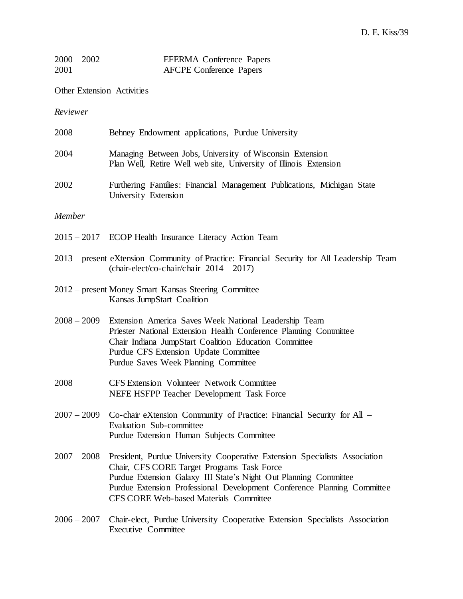| $2000 - 2002$ | <b>EFERMA</b> Conference Papers |
|---------------|---------------------------------|
| 2001          | <b>AFCPE Conference Papers</b>  |

Other Extension Activities

*Reviewer*

| 2008          | Behney Endowment applications, Purdue University                                                                                                                                                                                                                                                                                     |
|---------------|--------------------------------------------------------------------------------------------------------------------------------------------------------------------------------------------------------------------------------------------------------------------------------------------------------------------------------------|
| 2004          | Managing Between Jobs, University of Wisconsin Extension<br>Plan Well, Retire Well web site, University of Illinois Extension                                                                                                                                                                                                        |
| 2002          | Furthering Families: Financial Management Publications, Michigan State<br>University Extension                                                                                                                                                                                                                                       |
| Member        |                                                                                                                                                                                                                                                                                                                                      |
|               | 2015 – 2017 ECOP Health Insurance Literacy Action Team                                                                                                                                                                                                                                                                               |
|               | 2013 – present eXtension Community of Practice: Financial Security for All Leadership Team<br>$(char-elect/co-chain/chair 2014 - 2017)$                                                                                                                                                                                              |
|               | 2012 – present Money Smart Kansas Steering Committee<br>Kansas JumpStart Coalition                                                                                                                                                                                                                                                   |
| $2008 - 2009$ | Extension America Saves Week National Leadership Team<br>Priester National Extension Health Conference Planning Committee<br>Chair Indiana JumpStart Coalition Education Committee<br>Purdue CFS Extension Update Committee<br>Purdue Saves Week Planning Committee                                                                  |
| 2008          | <b>CFS Extension Volunteer Network Committee</b><br>NEFE HSFPP Teacher Development Task Force                                                                                                                                                                                                                                        |
| $2007 - 2009$ | Co-chair eXtension Community of Practice: Financial Security for All -<br>Evaluation Sub-committee<br>Purdue Extension Human Subjects Committee                                                                                                                                                                                      |
|               | 2007 - 2008 President, Purdue University Cooperative Extension Specialists Association<br>Chair, CFS CORE Target Programs Task Force<br>Purdue Extension Galaxy III State's Night Out Planning Committee<br>Purdue Extension Professional Development Conference Planning Committee<br><b>CFS CORE Web-based Materials Committee</b> |
| $2006 - 2007$ | Chair-elect, Purdue University Cooperative Extension Specialists Association<br><b>Executive Committee</b>                                                                                                                                                                                                                           |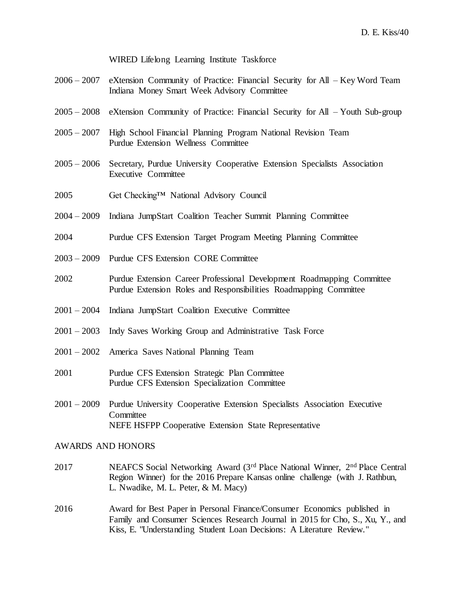WIRED Lifelong Learning Institute Taskforce

- 2006 2007 eXtension Community of Practice: Financial Security for All Key Word Team Indiana Money Smart Week Advisory Committee
- 2005 2008 eXtension Community of Practice: Financial Security for All Youth Sub-group
- 2005 2007 High School Financial Planning Program National Revision Team Purdue Extension Wellness Committee
- 2005 2006 Secretary, Purdue University Cooperative Extension Specialists Association Executive Committee
- 2005 Get Checking™ National Advisory Council
- 2004 2009 Indiana JumpStart Coalition Teacher Summit Planning Committee
- 2004 Purdue CFS Extension Target Program Meeting Planning Committee
- 2003 2009 Purdue CFS Extension CORE Committee
- 2002 Purdue Extension Career Professional Development Roadmapping Committee Purdue Extension Roles and Responsibilities Roadmapping Committee
- 2001 2004 Indiana JumpStart Coalition Executive Committee
- 2001 2003 Indy Saves Working Group and Administrative Task Force
- 2001 2002 America Saves National Planning Team
- 2001 Purdue CFS Extension Strategic Plan Committee Purdue CFS Extension Specialization Committee
- 2001 2009 Purdue University Cooperative Extension Specialists Association Executive **Committee** NEFE HSFPP Cooperative Extension State Representative

# AWARDS AND HONORS

- 2017 NEAFCS Social Networking Award (3<sup>rd</sup> Place National Winner, 2<sup>nd</sup> Place Central Region Winner) for the 2016 Prepare Kansas online challenge (with J. Rathbun, L. Nwadike, M. L. Peter, & M. Macy)
- 2016 Award for Best Paper in Personal Finance/Consumer Economics published in Family and Consumer Sciences Research Journal in 2015 for Cho, S., Xu, Y., and Kiss, E. "Understanding Student Loan Decisions: A Literature Review."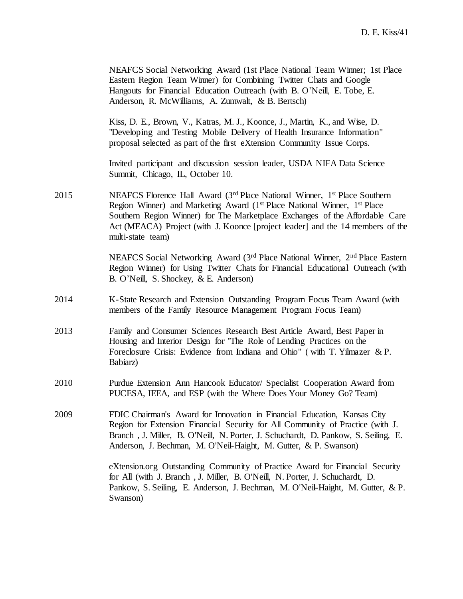|      | NEAFCS Social Networking Award (1st Place National Team Winner; 1st Place<br>Eastern Region Team Winner) for Combining Twitter Chats and Google<br>Hangouts for Financial Education Outreach (with B. O'Neill, E. Tobe, E.<br>Anderson, R. McWilliams, A. Zumwalt, & B. Bertsch)                                                                                                             |
|------|----------------------------------------------------------------------------------------------------------------------------------------------------------------------------------------------------------------------------------------------------------------------------------------------------------------------------------------------------------------------------------------------|
|      | Kiss, D. E., Brown, V., Katras, M. J., Koonce, J., Martin, K., and Wise, D.<br>"Developing and Testing Mobile Delivery of Health Insurance Information"<br>proposal selected as part of the first eXtension Community Issue Corps.                                                                                                                                                           |
|      | Invited participant and discussion session leader, USDA NIFA Data Science<br>Summit, Chicago, IL, October 10.                                                                                                                                                                                                                                                                                |
| 2015 | NEAFCS Florence Hall Award (3 <sup>rd</sup> Place National Winner, 1 <sup>st</sup> Place Southern<br>Region Winner) and Marketing Award (1 <sup>st</sup> Place National Winner, 1 <sup>st</sup> Place<br>Southern Region Winner) for The Marketplace Exchanges of the Affordable Care<br>Act (MEACA) Project (with J. Koonce [project leader] and the 14 members of the<br>multi-state team) |
|      | NEAFCS Social Networking Award (3rd Place National Winner, 2nd Place Eastern<br>Region Winner) for Using Twitter Chats for Financial Educational Outreach (with<br>B. O'Neill, S. Shockey, & E. Anderson)                                                                                                                                                                                    |
| 2014 | K-State Research and Extension Outstanding Program Focus Team Award (with<br>members of the Family Resource Management Program Focus Team)                                                                                                                                                                                                                                                   |
| 2013 | Family and Consumer Sciences Research Best Article Award, Best Paper in<br>Housing and Interior Design for "The Role of Lending Practices on the<br>Foreclosure Crisis: Evidence from Indiana and Ohio" (with T. Yilmazer & P.<br>Babiarz)                                                                                                                                                   |
| 2010 | Purdue Extension Ann Hancook Educator/ Specialist Cooperation Award from<br>PUCESA, IEEA, and ESP (with the Where Does Your Money Go? Team)                                                                                                                                                                                                                                                  |
| 2009 | FDIC Chairman's Award for Innovation in Financial Education, Kansas City<br>Region for Extension Financial Security for All Community of Practice (with J.<br>Branch, J. Miller, B. O'Neill, N. Porter, J. Schuchardt, D. Pankow, S. Seiling, E.<br>Anderson, J. Bechman, M. O'Neil-Haight, M. Gutter, & P. Swanson)                                                                         |
|      | eXtension.org Outstanding Community of Practice Award for Financial Security<br>for All (with J. Branch, J. Miller, B. O'Neill, N. Porter, J. Schuchardt, D.<br>Pankow, S. Seiling, E. Anderson, J. Bechman, M. O'Neil-Haight, M. Gutter, & P.<br>Swanson)                                                                                                                                   |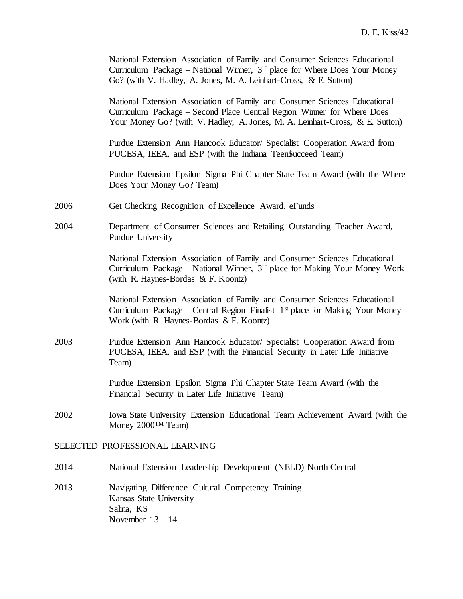| National Extension Association of Family and Consumer Sciences Educational<br>Curriculum Package – Second Place Central Region Winner for Where Does<br>Your Money Go? (with V. Hadley, A. Jones, M. A. Leinhart-Cross, & E. Sutton)<br>Purdue Extension Ann Hancook Educator/ Specialist Cooperation Award from<br>PUCESA, IEEA, and ESP (with the Indiana Teen\$ucceed Team) |  |
|--------------------------------------------------------------------------------------------------------------------------------------------------------------------------------------------------------------------------------------------------------------------------------------------------------------------------------------------------------------------------------|--|
|                                                                                                                                                                                                                                                                                                                                                                                |  |
|                                                                                                                                                                                                                                                                                                                                                                                |  |
| Purdue Extension Epsilon Sigma Phi Chapter State Team Award (with the Where<br>Does Your Money Go? Team)                                                                                                                                                                                                                                                                       |  |
| 2006<br>Get Checking Recognition of Excellence Award, eFunds                                                                                                                                                                                                                                                                                                                   |  |
| 2004<br>Department of Consumer Sciences and Retailing Outstanding Teacher Award,<br>Purdue University                                                                                                                                                                                                                                                                          |  |
| National Extension Association of Family and Consumer Sciences Educational<br>Curriculum Package – National Winner, $3rd$ place for Making Your Money Work<br>(with R. Haynes-Bordas $\&$ F. Koontz)                                                                                                                                                                           |  |
| National Extension Association of Family and Consumer Sciences Educational<br>Curriculum Package – Central Region Finalist $1st$ place for Making Your Money<br>Work (with R. Haynes-Bordas $& F.$ Koontz)                                                                                                                                                                     |  |
| 2003<br>Purdue Extension Ann Hancook Educator/ Specialist Cooperation Award from<br>PUCESA, IEEA, and ESP (with the Financial Security in Later Life Initiative<br>Team)                                                                                                                                                                                                       |  |
| Purdue Extension Epsilon Sigma Phi Chapter State Team Award (with the<br>Financial Security in Later Life Initiative Team)                                                                                                                                                                                                                                                     |  |
| 2002<br>Iowa State University Extension Educational Team Achievement Award (with the<br>Money 2000TM Team)                                                                                                                                                                                                                                                                     |  |
| SELECTED PROFESSIONAL LEARNING                                                                                                                                                                                                                                                                                                                                                 |  |
| National Extension Leadership Development (NELD) North Central<br>2014                                                                                                                                                                                                                                                                                                         |  |
| 2013<br>Navigating Difference Cultural Competency Training<br>Kansas State University<br>Salina, KS<br>November $13 - 14$                                                                                                                                                                                                                                                      |  |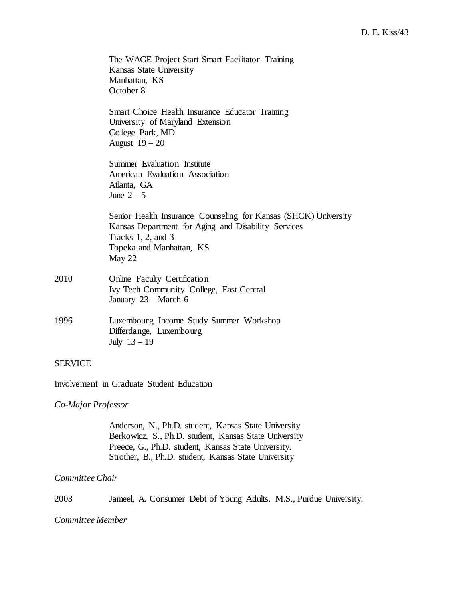|                | The WAGE Project \$tart \$mart Facilitator Training<br>Kansas State University<br>Manhattan, KS<br>October 8                                                                            |
|----------------|-----------------------------------------------------------------------------------------------------------------------------------------------------------------------------------------|
|                | Smart Choice Health Insurance Educator Training<br>University of Maryland Extension<br>College Park, MD<br>August $19-20$                                                               |
|                | Summer Evaluation Institute<br>American Evaluation Association<br>Atlanta, GA<br>June $2-5$                                                                                             |
|                | Senior Health Insurance Counseling for Kansas (SHCK) University<br>Kansas Department for Aging and Disability Services<br>Tracks $1, 2$ , and $3$<br>Topeka and Manhattan, KS<br>May 22 |
| 2010           | Online Faculty Certification<br>Ivy Tech Community College, East Central<br>January 23 – March 6                                                                                        |
| 1996           | Luxembourg Income Study Summer Workshop<br>Differdange, Luxembourg<br>July $13 - 19$                                                                                                    |
| <b>SERVICE</b> |                                                                                                                                                                                         |
|                | Involvement in Graduate Student Education                                                                                                                                               |

*Co-Major Professor*

Anderson, N., Ph.D. student, Kansas State University Berkowicz, S., Ph.D. student, Kansas State University Preece, G., Ph.D. student, Kansas State University. Strother, B., Ph.D. student, Kansas State University

### *Committee Chair*

2003 Jameel, A. Consumer Debt of Young Adults. M.S., Purdue University.

*Committee Member*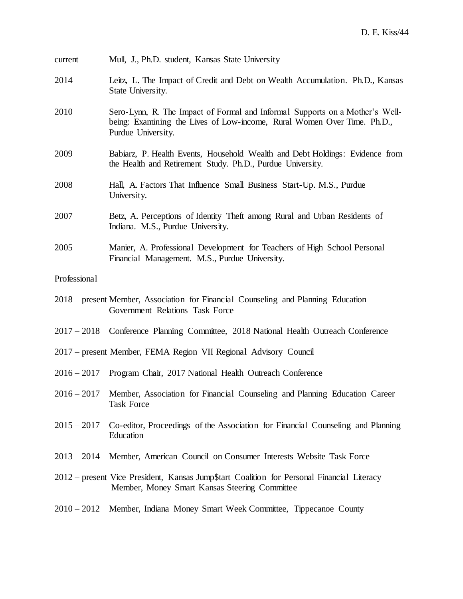| current       | Mull, J., Ph.D. student, Kansas State University                                                                                                                              |
|---------------|-------------------------------------------------------------------------------------------------------------------------------------------------------------------------------|
| 2014          | Leitz, L. The Impact of Credit and Debt on Wealth Accumulation. Ph.D., Kansas<br>State University.                                                                            |
| 2010          | Sero-Lynn, R. The Impact of Formal and Informal Supports on a Mother's Well-<br>being: Examining the Lives of Low-income, Rural Women Over Time. Ph.D.,<br>Purdue University. |
| 2009          | Babiarz, P. Health Events, Household Wealth and Debt Holdings: Evidence from<br>the Health and Retirement Study. Ph.D., Purdue University.                                    |
| 2008          | Hall, A. Factors That Influence Small Business Start-Up. M.S., Purdue<br>University.                                                                                          |
| 2007          | Betz, A. Perceptions of Identity Theft among Rural and Urban Residents of<br>Indiana. M.S., Purdue University.                                                                |
| 2005          | Manier, A. Professional Development for Teachers of High School Personal<br>Financial Management. M.S., Purdue University.                                                    |
| Professional  |                                                                                                                                                                               |
|               | 2018 – present Member, Association for Financial Counseling and Planning Education<br>Government Relations Task Force                                                         |
|               | 2017 – 2018 Conference Planning Committee, 2018 National Health Outreach Conference                                                                                           |
|               | 2017 – present Member, FEMA Region VII Regional Advisory Council                                                                                                              |
| $2016 - 2017$ | Program Chair, 2017 National Health Outreach Conference                                                                                                                       |
|               | 2016 - 2017 Member, Association for Financial Counseling and Planning Education Career<br><b>Task Force</b>                                                                   |
| $2015 - 2017$ | Co-editor, Proceedings of the Association for Financial Counseling and Planning<br>Education                                                                                  |
| $2013 - 2014$ | Member, American Council on Consumer Interests Website Task Force                                                                                                             |
|               | 2012 – present Vice President, Kansas Jump\$tart Coalition for Personal Financial Literacy<br>Member, Money Smart Kansas Steering Committee                                   |
| $2010 - 2012$ | Member, Indiana Money Smart Week Committee, Tippecanoe County                                                                                                                 |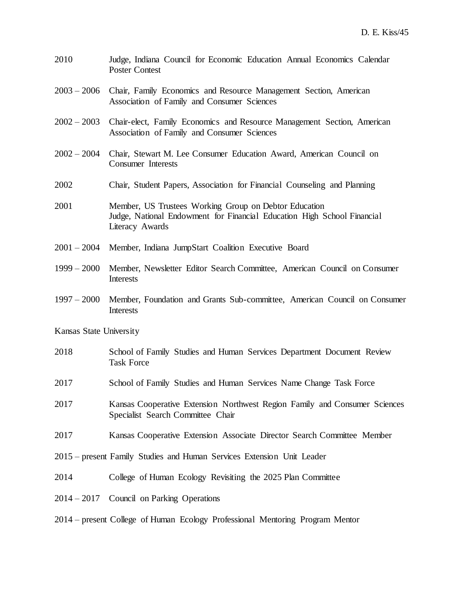- 2010 Judge, Indiana Council for Economic Education Annual Economics Calendar Poster Contest
- 2003 2006 Chair, Family Economics and Resource Management Section, American Association of Family and Consumer Sciences
- 2002 2003 Chair-elect, Family Economics and Resource Management Section, American Association of Family and Consumer Sciences
- 2002 2004 Chair, Stewart M. Lee Consumer Education Award, American Council on Consumer Interests
- 2002 Chair, Student Papers, Association for Financial Counseling and Planning
- 2001 Member, US Trustees Working Group on Debtor Education Judge, National Endowment for Financial Education High School Financial Literacy Awards
- 2001 2004 Member, Indiana JumpStart Coalition Executive Board
- 1999 2000 Member, Newsletter Editor Search Committee, American Council on Consumer **Interests**
- 1997 2000 Member, Foundation and Grants Sub-committee, American Council on Consumer **Interests**

Kansas State University

- 2018 School of Family Studies and Human Services Department Document Review Task Force
- 2017 School of Family Studies and Human Services Name Change Task Force
- 2017 Kansas Cooperative Extension Northwest Region Family and Consumer Sciences Specialist Search Committee Chair
- 2017 Kansas Cooperative Extension Associate Director Search Committee Member
- 2015 present Family Studies and Human Services Extension Unit Leader
- 2014 College of Human Ecology Revisiting the 2025 Plan Committee
- 2014 2017 Council on Parking Operations
- 2014 present College of Human Ecology Professional Mentoring Program Mentor